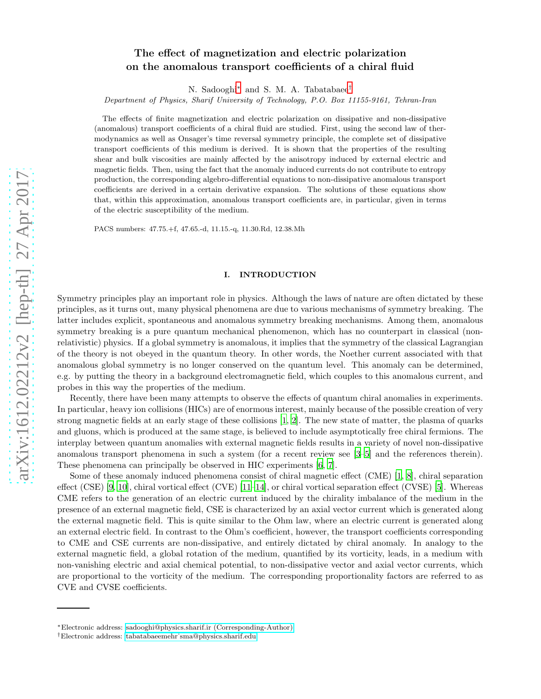# arXiv:1612.02212v2 [hep-th] 27 Apr 2017 [arXiv:1612.02212v2 \[hep-th\] 27 Apr 2017](http://arxiv.org/abs/1612.02212v2)

# The effect of magnetization and electric polarization on the anomalous transport coefficients of a chiral fluid

N. Sadooghi[∗](#page-0-0) and S. M. A. Tabatabaee[†](#page-0-1)

Department of Physics, Sharif University of Technology, P.O. Box 11155-9161, Tehran-Iran

The effects of finite magnetization and electric polarization on dissipative and non-dissipative (anomalous) transport coefficients of a chiral fluid are studied. First, using the second law of thermodynamics as well as Onsager's time reversal symmetry principle, the complete set of dissipative transport coefficients of this medium is derived. It is shown that the properties of the resulting shear and bulk viscosities are mainly affected by the anisotropy induced by external electric and magnetic fields. Then, using the fact that the anomaly induced currents do not contribute to entropy production, the corresponding algebro-differential equations to non-dissipative anomalous transport coefficients are derived in a certain derivative expansion. The solutions of these equations show that, within this approximation, anomalous transport coefficients are, in particular, given in terms of the electric susceptibility of the medium.

PACS numbers: 47.75.+f, 47.65.-d, 11.15.-q, 11.30.Rd, 12.38.Mh

### I. INTRODUCTION

Symmetry principles play an important role in physics. Although the laws of nature are often dictated by these principles, as it turns out, many physical phenomena are due to various mechanisms of symmetry breaking. The latter includes explicit, spontaneous and anomalous symmetry breaking mechanisms. Among them, anomalous symmetry breaking is a pure quantum mechanical phenomenon, which has no counterpart in classical (nonrelativistic) physics. If a global symmetry is anomalous, it implies that the symmetry of the classical Lagrangian of the theory is not obeyed in the quantum theory. In other words, the Noether current associated with that anomalous global symmetry is no longer conserved on the quantum level. This anomaly can be determined, e.g. by putting the theory in a background electromagnetic field, which couples to this anomalous current, and probes in this way the properties of the medium.

Recently, there have been many attempts to observe the effects of quantum chiral anomalies in experiments. In particular, heavy ion collisions (HICs) are of enormous interest, mainly because of the possible creation of very strong magnetic fields at an early stage of these collisions [\[1](#page-18-0), [2](#page-18-1)]. The new state of matter, the plasma of quarks and gluons, which is produced at the same stage, is believed to include asymptotically free chiral fermions. The interplay between quantum anomalies with external magnetic fields results in a variety of novel non-dissipative anomalous transport phenomena in such a system (for a recent review see [\[3](#page-18-2)[–5](#page-18-3)] and the references therein). These phenomena can principally be observed in HIC experiments [\[6,](#page-18-4) [7\]](#page-18-5).

Some of these anomaly induced phenomena consist of chiral magnetic effect (CME) [\[1,](#page-18-0) [8\]](#page-18-6), chiral separation effect (CSE) [\[9](#page-18-7), [10\]](#page-18-8), chiral vortical effect (CVE) [\[11](#page-18-9)[–14](#page-18-10)], or chiral vortical separation effect (CVSE) [\[5\]](#page-18-3). Whereas CME refers to the generation of an electric current induced by the chirality imbalance of the medium in the presence of an external magnetic field, CSE is characterized by an axial vector current which is generated along the external magnetic field. This is quite similar to the Ohm law, where an electric current is generated along an external electric field. In contrast to the Ohm's coefficient, however, the transport coefficients corresponding to CME and CSE currents are non-dissipative, and entirely dictated by chiral anomaly. In analogy to the external magnetic field, a global rotation of the medium, quantified by its vorticity, leads, in a medium with non-vanishing electric and axial chemical potential, to non-dissipative vector and axial vector currents, which are proportional to the vorticity of the medium. The corresponding proportionality factors are referred to as CVE and CVSE coefficients.

<span id="page-0-0"></span><sup>∗</sup>Electronic address: [sadooghi@physics.sharif.ir \(Corresponding-Author\)](mailto:sadooghi@physics.sharif.ir (Corresponding-Author))

<span id="page-0-1"></span><sup>†</sup>Electronic address: [tabatabaeemehr˙sma@physics.sharif.edu](mailto:tabatabaeemehr_sma@physics.sharif.edu)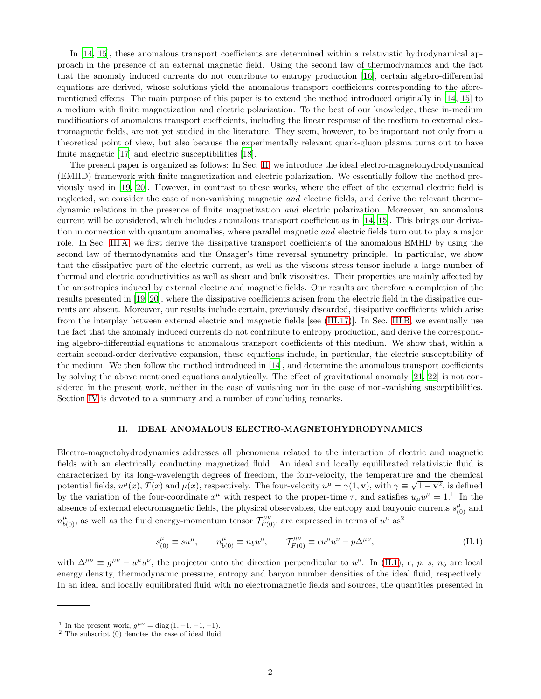In [\[14,](#page-18-10) [15\]](#page-18-11), these anomalous transport coefficients are determined within a relativistic hydrodynamical approach in the presence of an external magnetic field. Using the second law of thermodynamics and the fact that the anomaly induced currents do not contribute to entropy production [\[16](#page-18-12)], certain algebro-differential equations are derived, whose solutions yield the anomalous transport coefficients corresponding to the aforementioned effects. The main purpose of this paper is to extend the method introduced originally in [\[14,](#page-18-10) [15\]](#page-18-11) to a medium with finite magnetization and electric polarization. To the best of our knowledge, these in-medium modifications of anomalous transport coefficients, including the linear response of the medium to external electromagnetic fields, are not yet studied in the literature. They seem, however, to be important not only from a theoretical point of view, but also because the experimentally relevant quark-gluon plasma turns out to have finite magnetic [\[17\]](#page-18-13) and electric susceptibilities [\[18\]](#page-18-14).

The present paper is organized as follows: In Sec. [II,](#page-1-0) we introduce the ideal electro-magnetohydrodynamical (EMHD) framework with finite magnetization and electric polarization. We essentially follow the method previously used in [\[19](#page-18-15), [20\]](#page-18-16). However, in contrast to these works, where the effect of the external electric field is neglected, we consider the case of non-vanishing magnetic *and* electric fields, and derive the relevant thermodynamic relations in the presence of finite magnetization and electric polarization. Moreover, an anomalous current will be considered, which includes anomalous transport coefficient as in [\[14,](#page-18-10) [15](#page-18-11)]. This brings our derivation in connection with quantum anomalies, where parallel magnetic *and* electric fields turn out to play a major role. In Sec. [III A,](#page-7-0) we first derive the dissipative transport coefficients of the anomalous EMHD by using the second law of thermodynamics and the Onsager's time reversal symmetry principle. In particular, we show that the dissipative part of the electric current, as well as the viscous stress tensor include a large number of thermal and electric conductivities as well as shear and bulk viscosities. Their properties are mainly affected by the anisotropies induced by external electric and magnetic fields. Our results are therefore a completion of the results presented in [\[19,](#page-18-15) [20\]](#page-18-16), where the dissipative coefficients arisen from the electric field in the dissipative currents are absent. Moreover, our results include certain, previously discarded, dissipative coefficients which arise from the interplay between external electric and magnetic fields [see [\(III.17\)](#page-8-0)]. In Sec. [III B,](#page-8-1) we eventually use the fact that the anomaly induced currents do not contribute to entropy production, and derive the corresponding algebro-differential equations to anomalous transport coefficients of this medium. We show that, within a certain second-order derivative expansion, these equations include, in particular, the electric susceptibility of the medium. We then follow the method introduced in [\[14\]](#page-18-10), and determine the anomalous transport coefficients by solving the above mentioned equations analytically. The effect of gravitational anomaly [\[21](#page-18-17), [22\]](#page-18-18) is not considered in the present work, neither in the case of vanishing nor in the case of non-vanishing susceptibilities. Section [IV](#page-13-0) is devoted to a summary and a number of concluding remarks.

### <span id="page-1-0"></span>II. IDEAL ANOMALOUS ELECTRO-MAGNETOHYDRODYNAMICS

Electro-magnetohydrodynamics addresses all phenomena related to the interaction of electric and magnetic fields with an electrically conducting magnetized fluid. An ideal and locally equilibrated relativistic fluid is characterized by its long-wavelength degrees of freedom, the four-velocity, the temperature and the chemical potential fields,  $u^{\mu}(x)$ ,  $T(x)$  and  $\mu(x)$ , respectively. The four-velocity  $u^{\mu} = \gamma(1, \mathbf{v})$ , with  $\gamma \equiv \sqrt{1 - \mathbf{v}^2}$ , is defined by the variation of the four-coordinate  $x^{\mu}$  with respect to the proper-time  $\tau$ , and satisfies  $u_{\mu}u^{\mu} = 1$ .<sup>1</sup> In the absence of external electromagnetic fields, the physical observables, the entropy and baryonic currents  $s^{\mu}_{(0)}$  and  $n^{\mu}_{b(0)}$ , as well as the fluid energy-momentum tensor  $\mathcal{T}^{\mu\nu}_{F(0)}$ , are expressed in terms of  $u^{\mu}$  as<sup>2</sup>

<span id="page-1-1"></span>
$$
s^{\mu}_{(0)} \equiv su^{\mu}, \qquad n^{\mu}_{b(0)} \equiv n_b u^{\mu}, \qquad \mathcal{T}^{\mu\nu}_{F(0)} \equiv \epsilon u^{\mu} u^{\nu} - p \Delta^{\mu\nu}, \tag{II.1}
$$

with  $\Delta^{\mu\nu} \equiv g^{\mu\nu} - u^{\mu}u^{\nu}$ , the projector onto the direction perpendicular to  $u^{\mu}$ . In [\(II.1\)](#page-1-1),  $\epsilon$ ,  $p$ ,  $s$ ,  $n_b$  are local energy density, thermodynamic pressure, entropy and baryon number densities of the ideal fluid, respectively. In an ideal and locally equilibrated fluid with no electromagnetic fields and sources, the quantities presented in

<sup>&</sup>lt;sup>1</sup> In the present work,  $g^{\mu\nu} = \text{diag}(1, -1, -1, -1)$ .

 $2$  The subscript  $(0)$  denotes the case of ideal fluid.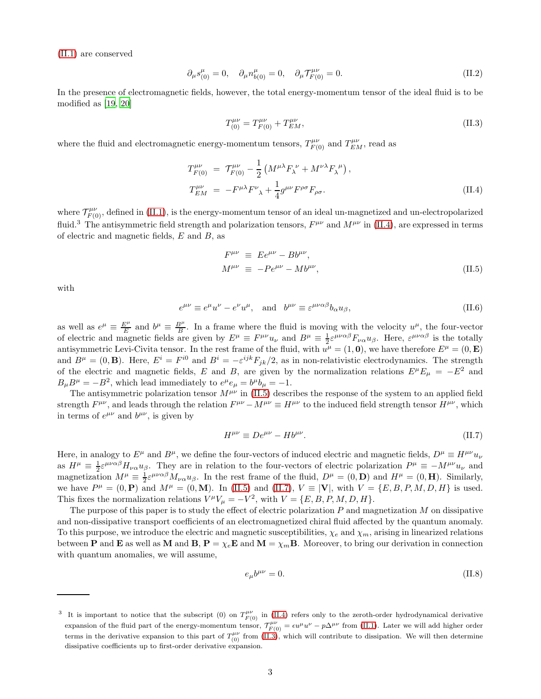[\(II.1\)](#page-1-1) are conserved

<span id="page-2-5"></span>
$$
\partial_{\mu} s_{(0)}^{\mu} = 0, \quad \partial_{\mu} n_{b(0)}^{\mu} = 0, \quad \partial_{\mu} \mathcal{T}_{F(0)}^{\mu \nu} = 0.
$$
 (II.2)

In the presence of electromagnetic fields, however, the total energy-momentum tensor of the ideal fluid is to be modified as [\[19,](#page-18-15) [20\]](#page-18-16)

<span id="page-2-3"></span>
$$
T^{\mu\nu}_{(0)} = T^{\mu\nu}_{F(0)} + T^{\mu\nu}_{EM},\tag{II.3}
$$

where the fluid and electromagnetic energy-momentum tensors,  $T_{F(0)}^{\mu\nu}$  and  $T_{EM}^{\mu\nu}$ , read as

<span id="page-2-0"></span>
$$
T_{F(0)}^{\mu\nu} = \mathcal{T}_{F(0)}^{\mu\nu} - \frac{1}{2} \left( M^{\mu\lambda} F_{\lambda}^{\ \nu} + M^{\nu\lambda} F_{\lambda}^{\ \mu} \right),
$$
  
\n
$$
T_{EM}^{\mu\nu} = -F^{\mu\lambda} F^{\nu}_{\ \lambda} + \frac{1}{4} g^{\mu\nu} F^{\rho\sigma} F_{\rho\sigma}.
$$
\n(II.4)

where  $\mathcal{T}^{\mu\nu}_{F(0)}$ , defined in [\(II.1\)](#page-1-1), is the energy-momentum tensor of an ideal un-magnetized and un-electropolarized fluid.<sup>3</sup> The antisymmetric field strength and polarization tensors,  $F^{\mu\nu}$  and  $M^{\mu\nu}$  in [\(II.4\)](#page-2-0), are expressed in terms of electric and magnetic fields, E and B, as

<span id="page-2-1"></span>
$$
F^{\mu\nu} \equiv E e^{\mu\nu} - B b^{\mu\nu},
$$
  
\n
$$
M^{\mu\nu} \equiv -P e^{\mu\nu} - M b^{\mu\nu},
$$
\n(II.5)

with

$$
e^{\mu\nu} \equiv e^{\mu}u^{\nu} - e^{\nu}u^{\mu}, \text{ and } b^{\mu\nu} \equiv \varepsilon^{\mu\nu\alpha\beta}b_{\alpha}u_{\beta}, \tag{II.6}
$$

as well as  $e^{\mu} \equiv \frac{E^{\mu}}{E}$  $\frac{E^{\mu}}{E}$  and  $b^{\mu} \equiv \frac{B^{\mu}}{B}$ . In a frame where the fluid is moving with the velocity  $u^{\mu}$ , the four-vector of electric and magnetic fields are given by  $E^{\mu} \equiv F^{\mu\nu} u_{\nu}$  and  $B^{\mu} \equiv \frac{1}{2} \varepsilon^{\mu\nu\alpha\beta} F_{\nu\alpha} u_{\beta}$ . Here,  $\varepsilon^{\mu\nu\alpha\beta}$  is the totally antisymmetric Levi-Civita tensor. In the rest frame of the fluid, with  $u^{\mu} = (1, 0)$ , we have therefore  $E^{\mu} = (0, \mathbf{E})$ and  $B^{\mu} = (0, \mathbf{B})$ . Here,  $E^{i} = F^{i0}$  and  $B^{i} = -\varepsilon^{ijk} F_{jk}/2$ , as in non-relativistic electrodynamics. The strength of the electric and magnetic fields, E and B, are given by the normalization relations  $E^{\mu}E_{\mu} = -E^2$  and  $B_{\mu}B^{\mu} = -B^2$ , which lead immediately to  $e^{\mu}e_{\mu} = b^{\mu}b_{\mu} = -1$ .

The antisymmetric polarization tensor  $M^{\mu\nu}$  in [\(II.5\)](#page-2-1) describes the response of the system to an applied field strength  $F^{\mu\nu}$ , and leads through the relation  $F^{\mu\nu} - M^{\mu\nu} \equiv H^{\mu\nu}$  to the induced field strength tensor  $H^{\mu\nu}$ , which in terms of  $e^{\mu\nu}$  and  $b^{\mu\nu}$ , is given by

<span id="page-2-2"></span>
$$
H^{\mu\nu} \equiv De^{\mu\nu} - Hb^{\mu\nu}.
$$
 (II.7)

Here, in analogy to  $E^{\mu}$  and  $B^{\mu}$ , we define the four-vectors of induced electric and magnetic fields,  $D^{\mu} \equiv H^{\mu\nu} u_{\nu}$ as  $H^{\mu} \equiv \frac{1}{2} \varepsilon^{\mu\nu\alpha\beta} H_{\nu\alpha} u_{\beta}$ . They are in relation to the four-vectors of electric polarization  $P^{\mu} \equiv -M^{\mu\nu} u_{\nu}$  and magnetization  $M^{\mu} \equiv \frac{1}{2} \varepsilon^{\mu\nu\alpha\beta} M_{\nu\alpha} u_{\beta}$ . In the rest frame of the fluid,  $D^{\mu} = (0, \mathbf{D})$  and  $H^{\mu} = (0, \mathbf{H})$ . Similarly, we have  $P^{\mu} = (0, \mathbf{P})$  and  $M^{\mu} = (0, \mathbf{M})$ . In [\(II.5\)](#page-2-1) and [\(II.7\)](#page-2-2),  $V = |\mathbf{V}|$ , with  $V = \{E, B, P, M, D, H\}$  is used. This fixes the normalization relations  $V^{\mu}V_{\mu} = -V^2$ , with  $V = \{E, B, P, M, D, H\}.$ 

The purpose of this paper is to study the effect of electric polarization  $P$  and magnetization  $M$  on dissipative and non-dissipative transport coefficients of an electromagnetized chiral fluid affected by the quantum anomaly. To this purpose, we introduce the electric and magnetic susceptibilities,  $\chi_e$  and  $\chi_m$ , arising in linearized relations between **P** and **E** as well as **M** and **B**,  $P = \chi_e \mathbf{E}$  and  $\mathbf{M} = \chi_m \mathbf{B}$ . Moreover, to bring our derivation in connection with quantum anomalies, we will assume,

<span id="page-2-4"></span>
$$
e_{\mu}b^{\mu\nu} = 0. \tag{II.8}
$$

<sup>&</sup>lt;sup>3</sup> It is important to notice that the subscript (0) on  $T_{F(0)}^{\mu\nu}$  in [\(II.4\)](#page-2-0) refers only to the zeroth-order hydrodynamical derivative expansion of the fluid part of the energy-momentum tensor,  $\mathcal{T}^{\mu\nu}_{F(0)} = \epsilon u^{\mu}u^{\nu} - p\Delta^{\mu\nu}$  from [\(II.1\)](#page-1-1). Later we will add higher order terms in the derivative expansion to this part of  $T^{\mu\nu}_{(0)}$  from  $(II.3)$ , which will contribute to dissipation. We will then determine dissipative coefficients up to first-order derivative expansion.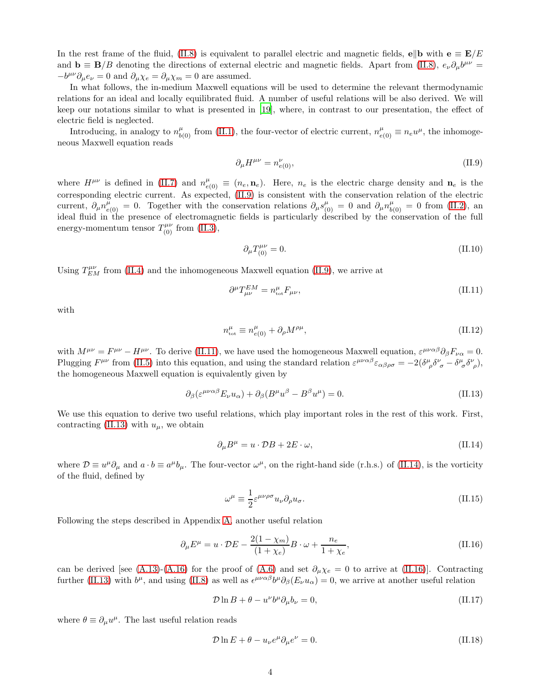In the rest frame of the fluid, [\(II.8\)](#page-2-4) is equivalent to parallel electric and magnetic fields, e||b with  $\mathbf{e} \equiv \mathbf{E}/E$ and  $\mathbf{b} \equiv \mathbf{B}/B$  denoting the directions of external electric and magnetic fields. Apart from [\(II.8\)](#page-2-4),  $e_{\nu} \partial_{\mu} b^{\mu \nu} =$  $-b^{\mu\nu}\partial_{\mu}e_{\nu} = 0$  and  $\partial_{\mu}\chi_e = \partial_{\mu}\chi_m = 0$  are assumed.

In what follows, the in-medium Maxwell equations will be used to determine the relevant thermodynamic relations for an ideal and locally equilibrated fluid. A number of useful relations will be also derived. We will keep our notations similar to what is presented in [\[19](#page-18-15)], where, in contrast to our presentation, the effect of electric field is neglected.

Introducing, in analogy to  $n^{\mu}_{b(0)}$  from [\(II.1\)](#page-1-1), the four-vector of electric current,  $n^{\mu}_{e(0)} \equiv n_e u^{\mu}$ , the inhomogeneous Maxwell equation reads

<span id="page-3-0"></span>
$$
\partial_{\mu}H^{\mu\nu} = n_{e(0)}^{\nu},\tag{II.9}
$$

where  $H^{\mu\nu}$  is defined in [\(II.7\)](#page-2-2) and  $n_{e(0)}^{\mu} \equiv (n_e, n_e)$ . Here,  $n_e$  is the electric charge density and  $n_e$  is the corresponding electric current. As expected, [\(II.9\)](#page-3-0) is consistent with the conservation relation of the electric current,  $\partial_{\mu}n^{\mu}_{e(0)} = 0$ . Together with the conservation relations  $\partial_{\mu}s^{\mu}_{(0)} = 0$  and  $\partial_{\mu}n^{\mu}_{b(0)} = 0$  from [\(II.2\)](#page-2-5), an ideal fluid in the presence of electromagnetic fields is particularly described by the conservation of the full energy-momentum tensor  $T^{\mu\nu}_{(0)}$  from [\(II.3\)](#page-2-3),

<span id="page-3-6"></span>
$$
\partial_{\mu}T^{\mu\nu}_{(0)} = 0. \tag{II.10}
$$

Using  $T_{EM}^{\mu\nu}$  from [\(II.4\)](#page-2-0) and the inhomogeneous Maxwell equation [\(II.9\)](#page-3-0), we arrive at

<span id="page-3-1"></span>
$$
\partial^{\mu}T_{\mu\nu}^{EM} = n_{\text{tot}}^{\mu}F_{\mu\nu},\tag{II.11}
$$

with

$$
n_{\text{tot}}^{\mu} \equiv n_{e(0)}^{\mu} + \partial_{\rho} M^{\rho \mu}, \tag{II.12}
$$

with  $M^{\mu\nu} = F^{\mu\nu} - H^{\mu\nu}$ . To derive [\(II.11\)](#page-3-1), we have used the homogeneous Maxwell equation,  $\varepsilon^{\mu\nu\alpha\beta}\partial_{\beta}F_{\nu\alpha} = 0$ . Plugging  $F^{\mu\nu}$  from [\(II.5\)](#page-2-1) into this equation, and using the standard relation  $\varepsilon^{\mu\nu\alpha\beta}\varepsilon_{\alpha\beta\rho\sigma} = -2(\delta^{\mu}_{\ \rho}\delta^{\nu}_{\ \sigma} - \delta^{\mu}_{\ \sigma}\delta^{\nu}_{\ \rho}),$ the homogeneous Maxwell equation is equivalently given by

<span id="page-3-2"></span>
$$
\partial_{\beta} \left( \varepsilon^{\mu\nu\alpha\beta} E_{\nu} u_{\alpha} \right) + \partial_{\beta} \left( B^{\mu} u^{\beta} - B^{\beta} u^{\mu} \right) = 0. \tag{II.13}
$$

We use this equation to derive two useful relations, which play important roles in the rest of this work. First, contracting [\(II.13\)](#page-3-2) with  $u_{\mu}$ , we obtain

<span id="page-3-3"></span>
$$
\partial_{\mu}B^{\mu} = u \cdot \mathcal{D}B + 2E \cdot \omega, \tag{II.14}
$$

where  $\mathcal{D} \equiv u^{\mu} \partial_{\mu}$  and  $a \cdot b \equiv a^{\mu} b_{\mu}$ . The four-vector  $\omega^{\mu}$ , on the right-hand side (r.h.s.) of [\(II.14\)](#page-3-3), is the vorticity of the fluid, defined by

<span id="page-3-7"></span>
$$
\omega^{\mu} \equiv \frac{1}{2} \varepsilon^{\mu\nu\rho\sigma} u_{\nu} \partial_{\rho} u_{\sigma}.
$$
\n(II.15)

Following the steps described in Appendix [A,](#page-14-0) another useful relation

<span id="page-3-4"></span>
$$
\partial_{\mu} E^{\mu} = u \cdot \mathcal{D} E - \frac{2(1 - \chi_m)}{(1 + \chi_e)} B \cdot \omega + \frac{n_e}{1 + \chi_e},\tag{II.16}
$$

can be derived [see [\(A.13\)](#page-15-0)-[\(A.16\)](#page-16-0) for the proof of [\(A.6\)](#page-15-1) and set  $\partial_{\mu}\chi_e = 0$  to arrive at [\(II.16\)](#page-3-4)]. Contracting further [\(II.13\)](#page-3-2) with  $b^{\mu}$ , and using [\(II.8\)](#page-2-4) as well as  $\epsilon^{\mu\nu\alpha\beta}b^{\mu}\partial_{\beta}(E_{\nu}u_{\alpha})=0$ , we arrive at another useful relation

<span id="page-3-8"></span>
$$
\mathcal{D}\ln B + \theta - u^{\nu}b^{\mu}\partial_{\mu}b_{\nu} = 0, \tag{II.17}
$$

where  $\theta \equiv \partial_{\mu}u^{\mu}$ . The last useful relation reads

<span id="page-3-5"></span>
$$
\mathcal{D}\ln E + \theta - u_{\nu}e^{\mu}\partial_{\mu}e^{\nu} = 0.
$$
\n(II.18)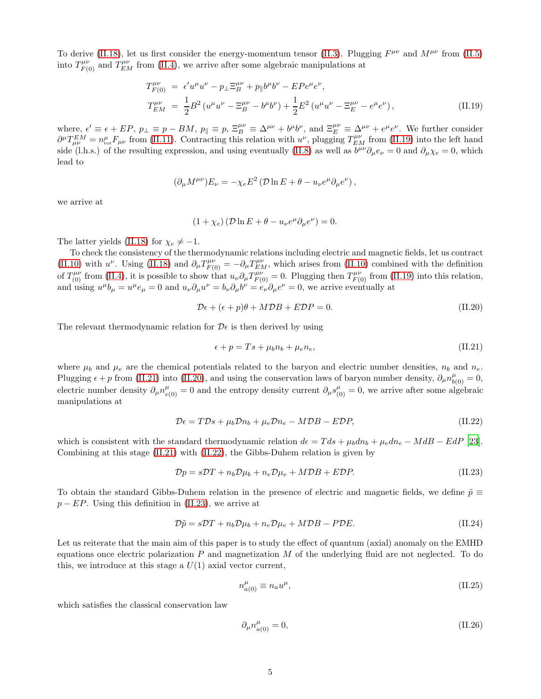To derive [\(II.18\)](#page-3-5), let us first consider the energy-momentum tensor [\(II.3\)](#page-2-3). Plugging  $F^{\mu\nu}$  and  $M^{\mu\nu}$  from [\(II.5\)](#page-2-1) into  $T_{F(0)}^{\mu\nu}$  and  $T_{EM}^{\mu\nu}$  from [\(II.4\)](#page-2-0), we arrive after some algebraic manipulations at

<span id="page-4-0"></span>
$$
T_{F(0)}^{\mu\nu} = \epsilon' u^{\mu} u^{\nu} - p_{\perp} \Xi_B^{\mu\nu} + p_{\parallel} b^{\mu} b^{\nu} - E P e^{\mu} e^{\nu},
$$
  
\n
$$
T_{EM}^{\mu\nu} = \frac{1}{2} B^2 (u^{\mu} u^{\nu} - \Xi_B^{\mu\nu} - b^{\mu} b^{\nu}) + \frac{1}{2} E^2 (u^{\mu} u^{\nu} - \Xi_E^{\mu\nu} - e^{\mu} e^{\nu}),
$$
\n(II.19)

where,  $\epsilon' \equiv \epsilon + EP$ ,  $p_{\perp} \equiv p - BM$ ,  $p_{\parallel} \equiv p$ ,  $\Xi_B^{\mu\nu} \equiv \Delta^{\mu\nu} + b^{\mu}b^{\nu}$ , and  $\Xi_E^{\mu\nu} \equiv \Delta^{\mu\nu} + e^{\mu}e^{\nu}$ . We further consider  $\partial^{\mu}T_{\mu\nu}^{EM} = n_{\text{tot}}^{\mu}F_{\mu\nu}$  from [\(II.11\)](#page-3-1). Contracting this relation with  $u^{\nu}$ , plugging  $T_{EM}^{\mu\nu}$  from [\(II.19\)](#page-4-0) into the left hand side (l.h.s.) of the resulting expression, and using eventually [\(II.8\)](#page-2-4) as well as  $b^{\mu\nu}\partial_{\mu}e_{\nu}=0$  and  $\partial_{\mu}\chi_{e}=0$ , which lead to

$$
(\partial_{\mu}M^{\mu\nu})E_{\nu} = -\chi_e E^2 (\mathcal{D}\ln E + \theta - u_{\nu}e^{\mu}\partial_{\mu}e^{\nu}),
$$

we arrive at

$$
(1 + \chi_e) (\mathcal{D} \ln E + \theta - u_\nu e^\mu \partial_\mu e^\nu) = 0.
$$

The latter yields [\(II.18\)](#page-3-5) for  $\chi_e \neq -1$ .

To check the consistency of the thermodynamic relations including electric and magnetic fields, let us contract [\(II.10\)](#page-3-6) with u<sup>v</sup>. Using [\(II.18\)](#page-3-5) and  $\partial_{\mu}T_{F(0)}^{\mu\nu} = -\partial_{\mu}T_{EM}^{\mu\nu}$ , which arises from [\(II.10\)](#page-3-6) combined with the definition of  $T^{\mu\nu}_{(0)}$  from [\(II.4\)](#page-2-0), it is possible to show that  $u_{\nu}\partial_{\mu}T^{\mu\nu}_{F(0)}=0$ . Plugging then  $T^{\mu\nu}_{F(0)}$  from [\(II.19\)](#page-4-0) into this relation, and using  $u^{\mu}b_{\mu} = u^{\mu}e_{\mu} = 0$  and  $u_{\nu}\partial_{\mu}u^{\nu} = b_{\nu}\partial_{\mu}b^{\nu} = e_{\nu}\partial_{\mu}e^{\nu} = 0$ , we arrive eventually at

<span id="page-4-2"></span>
$$
\mathcal{D}\epsilon + (\epsilon + p)\theta + M\mathcal{D}B + E\mathcal{D}P = 0. \tag{II.20}
$$

The relevant thermodynamic relation for  $\mathcal{D}\epsilon$  is then derived by using

<span id="page-4-1"></span>
$$
\epsilon + p = Ts + \mu_b n_b + \mu_e n_e, \tag{II.21}
$$

where  $\mu_b$  and  $\mu_e$  are the chemical potentials related to the baryon and electric number densities,  $n_b$  and  $n_e$ . Plugging  $\epsilon + p$  from [\(II.21\)](#page-4-1) into [\(II.20\)](#page-4-2), and using the conservation laws of baryon number density,  $\partial_{\mu}n_{b(0)}^{\mu} = 0$ , electric number density  $\partial_\mu n_{e(0)}^\mu = 0$  and the entropy density current  $\partial_\mu s_{(0)}^\mu = 0$ , we arrive after some algebraic manipulations at

<span id="page-4-3"></span>
$$
\mathcal{D}\epsilon = T\mathcal{D}s + \mu_b \mathcal{D}n_b + \mu_e \mathcal{D}n_e - M\mathcal{D}B - E\mathcal{D}P, \tag{II.22}
$$

which is consistent with the standard thermodynamic relation  $d\epsilon = T ds + \mu_b d n_b + \mu_e d n_e - M dB - EdP$  [\[23](#page-18-19)]. Combining at this stage  $(II.21)$  with  $(II.22)$ , the Gibbs-Duhem relation is given by

<span id="page-4-4"></span>
$$
\mathcal{D}p = s\mathcal{D}T + n_b\mathcal{D}\mu_b + n_e\mathcal{D}\mu_e + M\mathcal{D}B + E\mathcal{D}P. \tag{II.23}
$$

To obtain the standard Gibbs-Duhem relation in the presence of electric and magnetic fields, we define  $\tilde{p} \equiv$  $p - EP$ . Using this definition in [\(II.23\)](#page-4-4), we arrive at

$$
\mathcal{D}\tilde{p} = s\mathcal{D}T + n_b\mathcal{D}\mu_b + n_e\mathcal{D}\mu_e + M\mathcal{D}B - P\mathcal{D}E.
$$
\n(II.24)

Let us reiterate that the main aim of this paper is to study the effect of quantum (axial) anomaly on the EMHD equations once electric polarization  $P$  and magnetization  $M$  of the underlying fluid are not neglected. To do this, we introduce at this stage a  $U(1)$  axial vector current,

<span id="page-4-5"></span>
$$
n_{a(0)}^{\mu} \equiv n_a u^{\mu}, \tag{II.25}
$$

which satisfies the classical conservation law

$$
\partial_{\mu}n_{a(0)}^{\mu} = 0,\tag{II.26}
$$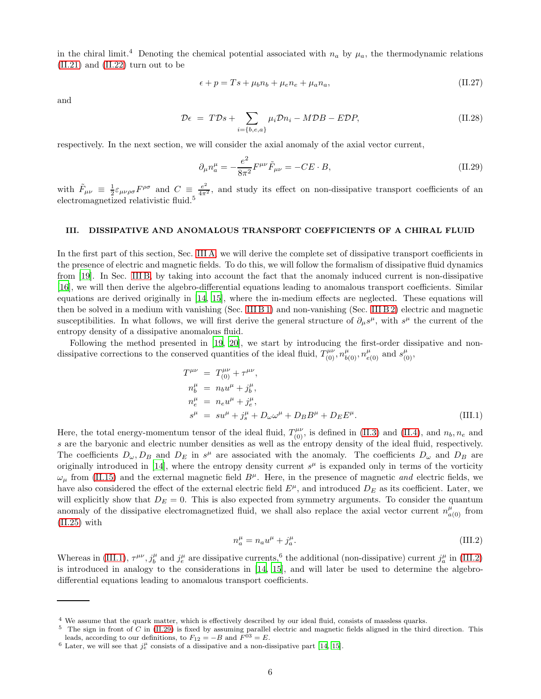in the chiral limit.<sup>4</sup> Denoting the chemical potential associated with  $n_a$  by  $\mu_a$ , the thermodynamic relations [\(II.21\)](#page-4-1) and [\(II.22\)](#page-4-3) turn out to be

<span id="page-5-3"></span>
$$
\epsilon + p = Ts + \mu_b n_b + \mu_e n_e + \mu_a n_a, \tag{II.27}
$$

and

<span id="page-5-4"></span>
$$
\mathcal{D}\epsilon = TDs + \sum_{i=\{b,e,a\}} \mu_i \mathcal{D}n_i - M\mathcal{D}B - E\mathcal{D}P,\tag{II.28}
$$

respectively. In the next section, we will consider the axial anomaly of the axial vector current,

<span id="page-5-2"></span>
$$
\partial_{\mu}n_{a}^{\mu} = -\frac{e^{2}}{8\pi^{2}}F^{\mu\nu}\tilde{F}_{\mu\nu} = -CE \cdot B, \qquad (II.29)
$$

with  $\tilde{F}_{\mu\nu} \equiv \frac{1}{2} \varepsilon_{\mu\nu\rho\sigma} F^{\rho\sigma}$  and  $C \equiv \frac{e^2}{4\pi^2}$ , and study its effect on non-dissipative transport coefficients of an electromagnetized relativistic fluid.<sup>5</sup>

### III. DISSIPATIVE AND ANOMALOUS TRANSPORT COEFFICIENTS OF A CHIRAL FLUID

In the first part of this section, Sec. [III A,](#page-7-0) we will derive the complete set of dissipative transport coefficients in the presence of electric and magnetic fields. To do this, we will follow the formalism of dissipative fluid dynamics from [\[19\]](#page-18-15). In Sec. [III B,](#page-8-1) by taking into account the fact that the anomaly induced current is non-dissipative [\[16\]](#page-18-12), we will then derive the algebro-differential equations leading to anomalous transport coefficients. Similar equations are derived originally in [\[14](#page-18-10), [15](#page-18-11)], where the in-medium effects are neglected. These equations will then be solved in a medium with vanishing (Sec. [III B 1\)](#page-10-0) and non-vanishing (Sec. [III B 2\)](#page-12-0) electric and magnetic susceptibilities. In what follows, we will first derive the general structure of  $\partial_\mu s^\mu$ , with  $s^\mu$  the current of the entropy density of a dissipative anomalous fluid.

Following the method presented in [\[19](#page-18-15), [20\]](#page-18-16), we start by introducing the first-order dissipative and nondissipative corrections to the conserved quantities of the ideal fluid,  $T^{\mu\nu}_{(0)}, n^{\mu}_{b(0)}, n^{\mu}_{e(0)}$  and  $s^{\mu}_{(0)},$ 

<span id="page-5-0"></span>
$$
T^{\mu\nu} = T^{\mu\nu}_{(0)} + \tau^{\mu\nu},
$$
  
\n
$$
n^{\mu}_{b} = n_{b}u^{\mu} + j^{\mu}_{b},
$$
  
\n
$$
n^{\mu}_{e} = n_{e}u^{\mu} + j^{\mu}_{e},
$$
  
\n
$$
s^{\mu} = su^{\mu} + j^{\mu}_{s} + D_{\omega}\omega^{\mu} + D_{B}B^{\mu} + D_{E}E^{\mu}.
$$
\n(III.1)

Here, the total energy-momentum tensor of the ideal fluid,  $T^{\mu\nu}_{(0)}$ , is defined in [\(II.3\)](#page-2-3) and [\(II.4\)](#page-2-0), and  $n_b, n_e$  and s are the baryonic and electric number densities as well as the entropy density of the ideal fluid, respectively. The coefficients  $D_{\omega}, D_B$  and  $D_E$  in  $s^{\mu}$  are associated with the anomaly. The coefficients  $D_{\omega}$  and  $D_B$  are originally introduced in [\[14\]](#page-18-10), where the entropy density current  $s^{\mu}$  is expanded only in terms of the vorticity  $\omega_u$  from [\(II.15\)](#page-3-7) and the external magnetic field  $B^{\mu}$ . Here, in the presence of magnetic and electric fields, we have also considered the effect of the external electric field  $E^{\mu}$ , and introduced  $D_E$  as its coefficient. Later, we will explicitly show that  $D_E = 0$ . This is also expected from symmetry arguments. To consider the quantum anomaly of the dissipative electromagnetized fluid, we shall also replace the axial vector current  $n^{\mu}_{a(0)}$  from [\(II.25\)](#page-4-5) with

<span id="page-5-1"></span>
$$
n_a^{\mu} = n_a u^{\mu} + j_a^{\mu}.
$$
 (III.2)

Whereas in [\(III.1\)](#page-5-0),  $\tau^{\mu\nu}$ ,  $j_b^{\mu}$  and  $j_e^{\mu}$  are dissipative currents,<sup>6</sup> the additional (non-dissipative) current  $j_a^{\mu}$  in [\(III.2\)](#page-5-1) is introduced in analogy to the considerations in [\[14](#page-18-10), [15\]](#page-18-11), and will later be used to determine the algebrodifferential equations leading to anomalous transport coefficients.

 $^4$  We assume that the quark matter, which is effectively described by our ideal fluid, consists of massless quarks.

<sup>&</sup>lt;sup>5</sup> The sign in front of C in [\(II.29\)](#page-5-2) is fixed by assuming parallel electric and magnetic fields aligned in the third direction. This leads, according to our definitions, to  $F_{12} = -B$  and  $F^{03} = E$ .

<sup>&</sup>lt;sup>6</sup> Later, we will see that  $j_e^{\mu}$  consists of a dissipative and a non-dissipative part [\[14,](#page-18-10) [15](#page-18-11)].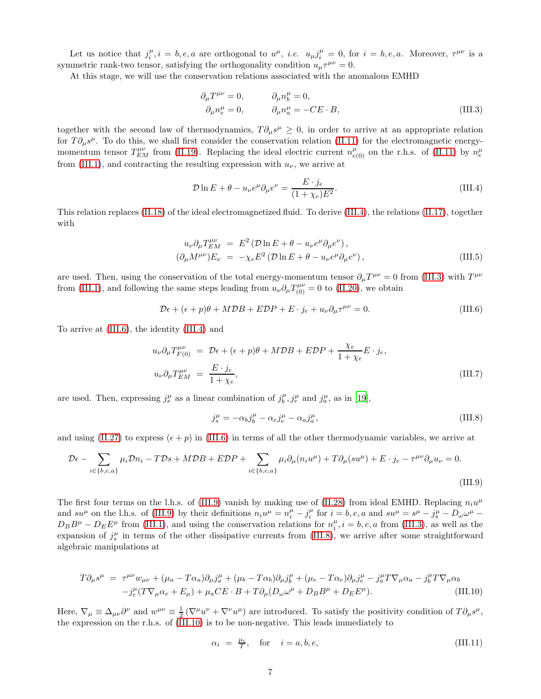Let us notice that  $j_i^{\mu}, i = b, e, a$  are orthogonal to  $u^{\mu}$ , *i.e.*  $u_{\mu} j_i^{\mu} = 0$ , for  $i = b, e, a$ . Moreover,  $\tau^{\mu\nu}$  is a symmetric rank-two tensor, satisfying the orthogonality condition  $u_{\mu}\tau^{\mu\nu} = 0$ .

At this stage, we will use the conservation relations associated with the anomalous EMHD

<span id="page-6-1"></span>
$$
\partial_{\mu}T^{\mu\nu} = 0, \qquad \partial_{\mu}n_{b}^{\mu} = 0, \n\partial_{\mu}n_{e}^{\mu} = 0, \qquad \partial_{\mu}n_{a}^{\mu} = -CE \cdot B,
$$
\n(III.3)

together with the second law of thermodynamics,  $T \partial_\mu s^\mu \geq 0$ , in order to arrive at an appropriate relation for  $T\partial_\mu s^\mu$ . To do this, we shall first consider the conservation relation [\(II.11\)](#page-3-1) for the electromagnetic energymomentum tensor  $T_{EM}^{\mu\nu}$  from [\(II.19\)](#page-4-0). Replacing the ideal electric current  $n_{e(0)}^{\mu}$  on the r.h.s. of [\(II.11\)](#page-3-1) by  $n_e^{\mu}$ from [\(III.1\)](#page-5-0), and contracting the resulting expression with  $u_{\nu}$ , we arrive at

<span id="page-6-0"></span>
$$
\mathcal{D}\ln E + \theta - u_{\nu}e^{\mu}\partial_{\mu}e^{\nu} = \frac{E \cdot j_e}{(1 + \chi_e)E^2}.
$$
\n(III.4)

This relation replaces [\(II.18\)](#page-3-5) of the ideal electromagnetized fluid. To derive [\(III.4\)](#page-6-0), the relations [\(II.17\)](#page-3-8), together with

$$
u_{\nu}\partial_{\mu}T_{EM}^{\mu\nu} = E^2 \left( \mathcal{D} \ln E + \theta - u_{\nu}e^{\mu}\partial_{\mu}e^{\nu} \right),
$$
  
\n
$$
\left( \partial_{\mu}M^{\mu\nu} \right)E_{\nu} = -\chi_e E^2 \left( \mathcal{D} \ln E + \theta - u_{\nu}e^{\mu}\partial_{\mu}e^{\nu} \right),
$$
\n(III.5)

are used. Then, using the conservation of the total energy-momentum tensor  $\partial_\mu T^{\mu\nu} = 0$  from [\(III.3\)](#page-6-1) with  $T^{\mu\nu}$ from [\(III.1\)](#page-5-0), and following the same steps leading from  $u_{\nu} \partial_{\mu} T^{\mu \nu}_{(0)} = 0$  to [\(II.20\)](#page-4-2), we obtain

<span id="page-6-2"></span>
$$
\mathcal{D}\epsilon + (\epsilon + p)\theta + M\mathcal{D}B + E\mathcal{D}P + E \cdot j_e + u_\nu \partial_\mu \tau^{\mu\nu} = 0.
$$
 (III.6)

To arrive at [\(III.6\)](#page-6-2), the identity [\(III.4\)](#page-6-0) and

$$
u_{\nu}\partial_{\mu}T_{F(0)}^{\mu\nu} = \mathcal{D}\epsilon + (\epsilon + p)\theta + M\mathcal{D}B + E\mathcal{D}P + \frac{\chi_{e}}{1 + \chi_{e}}E \cdot j_{e},
$$
  

$$
u_{\nu}\partial_{\mu}T_{EM}^{\mu\nu} = \frac{E \cdot j_{e}}{1 + \chi_{e}},
$$
 (III.7)

are used. Then, expressing  $j_s^{\mu}$  as a linear combination of  $j_b^{\mu}, j_e^{\mu}$  and  $j_a^{\mu}$ , as in [\[19\]](#page-18-15),

<span id="page-6-4"></span>
$$
j_s^{\mu} = -\alpha_b j_b^{\mu} - \alpha_e j_e^{\mu} - \alpha_a j_a^{\mu}, \qquad (III.8)
$$

and using [\(II.27\)](#page-5-3) to express  $(\epsilon + p)$  in [\(III.6\)](#page-6-2) in terms of all the other thermodynamic variables, we arrive at

<span id="page-6-3"></span>
$$
\mathcal{D}\epsilon - \sum_{i \in \{b,e,a\}} \mu_i \mathcal{D}n_i - T\mathcal{D}s + M\mathcal{D}B + E\mathcal{D}P + \sum_{i \in \{b,e,a\}} \mu_i \partial_\mu (n_i u^\mu) + T\partial_\mu (s u^\mu) + E \cdot j_e - \tau^{\mu\nu} \partial_\mu u_\nu = 0.
$$
\n(III.9)

The first four terms on the l.h.s. of [\(III.9\)](#page-6-3) vanish by making use of [\(II.28\)](#page-5-4) from ideal EMHD. Replacing  $n_i u^{\mu}$ and  $su^{\mu}$  on the l.h.s. of [\(III.9\)](#page-6-3) by their definitions  $n_iu^{\mu} = n_i^{\mu} - j_i^{\mu}$  for  $i = b, e, a$  and  $su^{\mu} = s^{\mu} - j_s^{\mu} - D_{\omega}\omega^{\mu} D_B B^{\mu} - D_E E^{\mu}$  from [\(III.1\)](#page-5-0), and using the conservation relations for  $n_i^{\mu}$ ,  $i = b, e, a$  from [\(III.3\)](#page-6-1), as well as the expansion of  $j_s^{\mu}$  in terms of the other dissipative currents from [\(III.8\)](#page-6-4), we arrive after some straightforward algebraic manipulations at

<span id="page-6-5"></span>
$$
T\partial_{\mu}s^{\mu} = \tau^{\mu\nu}w_{\mu\nu} + (\mu_a - T\alpha_a)\partial_{\mu}j^{\mu}_a + (\mu_b - T\alpha_b)\partial_{\mu}j^{\mu}_b + (\mu_e - T\alpha_e)\partial_{\mu}j^{\mu}_e - j^{\mu}_aT\nabla_{\mu}\alpha_a - j^{\mu}_bT\nabla_{\mu}\alpha_b
$$
  

$$
-j^{\mu}_e(T\nabla_{\mu}\alpha_e + E_{\mu}) + \mu_a CE \cdot B + T\partial_{\mu}(D_{\omega}\omega^{\mu} + D_BB^{\mu} + D_EE^{\mu}). \tag{III.10}
$$

Here,  $\nabla_{\mu} \equiv \Delta_{\mu\nu} \partial^{\nu}$  and  $w^{\mu\nu} \equiv \frac{1}{2} (\nabla^{\mu} u^{\nu} + \nabla^{\nu} u^{\mu})$  are introduced. To satisfy the positivity condition of  $T \partial_{\mu} s^{\mu}$ , the expression on the r.h.s. of [\(III.10\)](#page-6-5) is to be non-negative. This leads immediately to

$$
\alpha_i = \frac{\mu_i}{T}, \quad \text{for} \quad i = a, b, e,
$$
\n(III.11)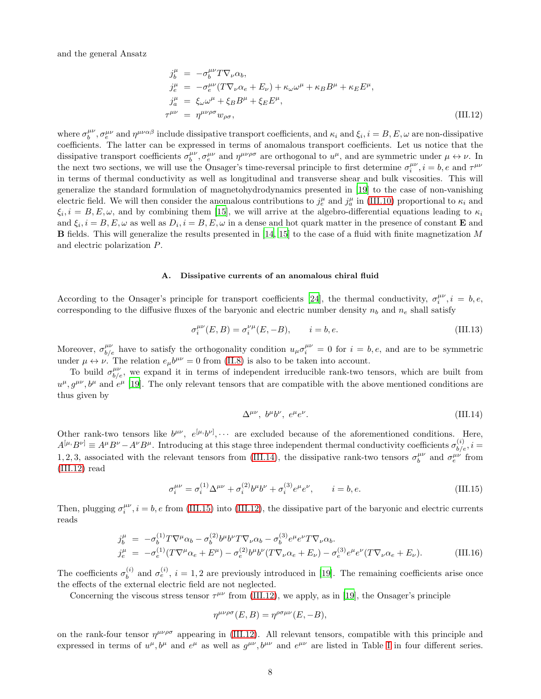and the general Ansatz

<span id="page-7-2"></span>
$$
\begin{aligned}\nj_b^\mu &= -\sigma_b^{\mu\nu} T \nabla_\nu \alpha_b, \\
j_e^\mu &= -\sigma_e^{\mu\nu} (T \nabla_\nu \alpha_e + E_\nu) + \kappa_\omega \omega^\mu + \kappa_B B^\mu + \kappa_E E^\mu, \\
j_a^\mu &= \xi_\omega \omega^\mu + \xi_B B^\mu + \xi_E E^\mu, \\
\tau^{\mu\nu} &= \eta^{\mu\nu\rho\sigma} w_{\rho\sigma},\n\end{aligned} \tag{III.12}
$$

where  $\sigma_b^{\mu\nu}$ ,  $\sigma_e^{\mu\nu}$  and  $\eta^{\mu\nu\alpha\beta}$  include dissipative transport coefficients, and  $\kappa_i$  and  $\xi_i$ ,  $i = B, E, \omega$  are non-dissipative coefficients. The latter can be expressed in terms of anomalous transport coefficients. Let us notice that the dissipative transport coefficients  $\sigma_b^{\mu\nu}, \sigma_e^{\mu\nu}$  and  $\eta^{\mu\nu\rho\sigma}$  are orthogonal to  $u^{\mu}$ , and are symmetric under  $\mu \leftrightarrow \nu$ . In the next two sections, we will use the Onsager's time-reversal principle to first determine  $\sigma_i^{\mu\nu}$ ,  $i = b, e$  and  $\tau^{\mu\nu}$ in terms of thermal conductivity as well as longitudinal and transverse shear and bulk viscosities. This will generalize the standard formulation of magnetohydrodynamics presented in [\[19\]](#page-18-15) to the case of non-vanishing electric field. We will then consider the anomalous contributions to  $j_e^{\mu}$  and  $j_a^{\mu}$  in [\(III.10\)](#page-6-5) proportional to  $\kappa_i$  and  $\xi_i, i = B, E, \omega$ , and by combining them [\[15\]](#page-18-11), we will arrive at the algebro-differential equations leading to  $\kappa_i$ and  $\xi_i$ ,  $i = B, E, \omega$  as well as  $D_i$ ,  $i = B, E, \omega$  in a dense and hot quark matter in the presence of constant **E** and **B** fields. This will generalize the results presented in  $[14, 15]$  $[14, 15]$  to the case of a fluid with finite magnetization M and electric polarization P.

# <span id="page-7-0"></span>A. Dissipative currents of an anomalous chiral fluid

According to the Onsager's principle for transport coefficients [\[24](#page-18-20)], the thermal conductivity,  $\sigma_i^{\mu\nu}$ ,  $i = b, e$ , corresponding to the diffusive fluxes of the baryonic and electric number density  $n_b$  and  $n_e$  shall satisfy

$$
\sigma_i^{\mu\nu}(E,B) = \sigma_i^{\nu\mu}(E,-B), \qquad i = b, e.
$$
\n(III.13)

Moreover,  $\sigma_{b/e}^{\mu\nu}$  have to satisfy the orthogonality condition  $u_{\mu}\sigma_i^{\mu\nu} = 0$  for  $i = b, e$ , and are to be symmetric under  $\mu \leftrightarrow \nu$ . The relation  $e_{\mu}b^{\mu\nu} = 0$  from [\(II.8\)](#page-2-4) is also to be taken into account.

To build  $\sigma_{b/e}^{\mu\nu}$ , we expand it in terms of independent irreducible rank-two tensors, which are built from  $u^{\mu}, g^{\mu\nu}, b^{\mu}$  and  $e^{\mu}$  [\[19\]](#page-18-15). The only relevant tensors that are compatible with the above mentioned conditions are thus given by

<span id="page-7-1"></span>
$$
\Delta^{\mu\nu}, b^{\mu}b^{\nu}, e^{\mu}e^{\nu}.
$$
 (III.14)

Other rank-two tensors like  $b^{\mu\nu}$ ,  $e^{[\mu, b^{\nu]}, \cdots$  are excluded because of the aforementioned conditions. Here,  $A^{[\mu},B^{\nu]} \equiv A^{\mu}B^{\nu} - A^{\nu}B^{\mu}$ . Introducing at this stage three independent thermal conductivity coefficients  $\sigma_{b/e}^{(i)}$ ,  $i =$ 1, 2, 3, associated with the relevant tensors from [\(III.14\)](#page-7-1), the dissipative rank-two tensors  $\sigma_b^{\mu\nu}$  and  $\sigma_e^{\mu\nu}$  from [\(III.12\)](#page-7-2) read

<span id="page-7-3"></span>
$$
\sigma_i^{\mu\nu} = \sigma_i^{(1)} \Delta^{\mu\nu} + \sigma_i^{(2)} b^{\mu} b^{\nu} + \sigma_i^{(3)} e^{\mu} e^{\nu}, \qquad i = b, e.
$$
 (III.15)

Then, plugging  $\sigma_i^{\mu\nu}$ ,  $i = b, e$  from [\(III.15\)](#page-7-3) into [\(III.12\)](#page-7-2), the dissipative part of the baryonic and electric currents reads

<span id="page-7-4"></span>
$$
\begin{split} j_b^{\mu} &= -\sigma_b^{(1)} T \nabla^{\mu} \alpha_b - \sigma_b^{(2)} b^{\mu} b^{\nu} T \nabla_{\nu} \alpha_b - \sigma_b^{(3)} e^{\mu} e^{\nu} T \nabla_{\nu} \alpha_b. \\ j_e^{\mu} &= -\sigma_e^{(1)} (T \nabla^{\mu} \alpha_e + E^{\mu}) - \sigma_e^{(2)} b^{\mu} b^{\nu} (T \nabla_{\nu} \alpha_e + E_{\nu}) - \sigma_e^{(3)} e^{\mu} e^{\nu} (T \nabla_{\nu} \alpha_e + E_{\nu}). \end{split} \tag{III.16}
$$

The coefficients  $\sigma_h^{(i)}$  $b_b^{(i)}$  and  $\sigma_e^{(i)}$ ,  $i = 1, 2$  are previously introduced in [\[19](#page-18-15)]. The remaining coefficients arise once the effects of the external electric field are not neglected.

Concerning the viscous stress tensor  $\tau^{\mu\nu}$  from [\(III.12\)](#page-7-2), we apply, as in [\[19\]](#page-18-15), the Onsager's principle

$$
\eta^{\mu\nu\rho\sigma}(E,B) = \eta^{\rho\sigma\mu\nu}(E,-B),
$$

on the rank-four tensor  $\eta^{\mu\nu\rho\sigma}$  appearing in [\(III.12\)](#page-7-2). All relevant tensors, compatible with this principle and expressed in terms of  $u^{\mu}, b^{\mu}$  and  $e^{\mu}$  as well as  $g^{\mu\nu}, b^{\mu\nu}$  and  $e^{\mu\nu}$  are listed in Table [I](#page-9-0) in four different series.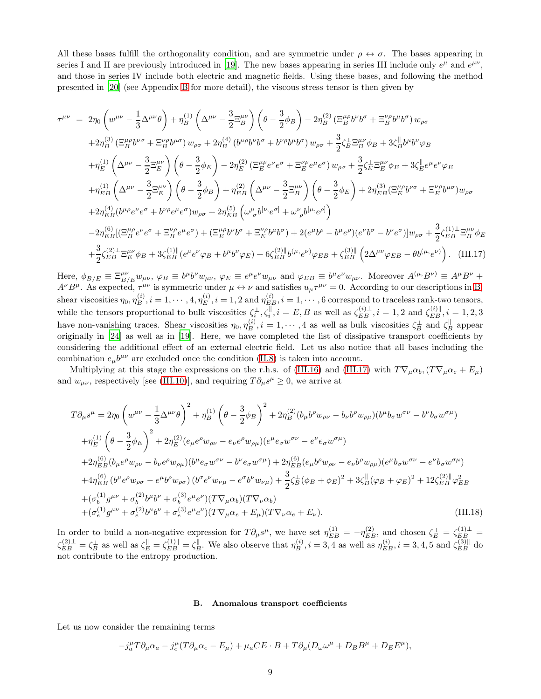All these bases fulfill the orthogonality condition, and are symmetric under  $\rho \leftrightarrow \sigma$ . The bases appearing in series I and II are previously introduced in [\[19](#page-18-15)]. The new bases appearing in series III include only  $e^{\mu}$  and  $e^{\mu\nu}$ , and those in series IV include both electric and magnetic fields. Using these bases, and following the method presented in [\[20\]](#page-18-16) (see Appendix [B](#page-17-0) for more detail), the viscous stress tensor is then given by

<span id="page-8-0"></span>
$$
\tau^{\mu\nu} = 2\eta_0 \left( w^{\mu\nu} - \frac{1}{3} \Delta^{\mu\nu} \theta \right) + \eta_B^{(1)} \left( \Delta^{\mu\nu} - \frac{3}{2} \Xi_B^{\mu\nu} \right) \left( \theta - \frac{3}{2} \phi_B \right) - 2 \eta_B^{(2)} \left( \Xi_B^{\mu\rho} b^{\nu\sigma} + \Xi_B^{\nu\rho} b^{\mu\sigma} \right) w_{\rho\sigma} \n+ 2 \eta_B^{(3)} \left( \Xi_B^{\mu\rho} b^{\nu\sigma} + \Xi_B^{\nu\rho} b^{\mu\sigma} \right) w_{\rho\sigma} + 2 \eta_B^{(4)} \left( b^{\mu\rho} b^{\nu} b^{\sigma} + b^{\nu\rho} b^{\mu} b^{\sigma} \right) w_{\rho\sigma} + \frac{3}{2} \zeta_B^{\perp} \Xi_B^{\mu\nu} \phi_B + 3 \zeta_B^{\parallel} b^{\mu} b^{\nu} \phi_B \n+ \eta_E^{(1)} \left( \Delta^{\mu\nu} - \frac{3}{2} \Xi_E^{\mu\nu} \right) \left( \theta - \frac{3}{2} \phi_E \right) - 2 \eta_E^{(2)} \left( \Xi_E^{\mu\rho} e^{\nu} e^{\sigma} + \Xi_E^{\nu\rho} e^{\mu} e^{\sigma} \right) w_{\rho\sigma} + \frac{3}{2} \zeta_B^{\perp} \Xi_E^{\mu\nu} \phi_E + 3 \zeta_B^{\parallel} e^{\mu} e^{\nu} \phi_E \n+ \eta_{EB}^{(1)} \left( \Delta^{\mu\nu} - \frac{3}{2} \Xi_E^{\mu\nu} \right) \left( \theta - \frac{3}{2} \phi_B \right) + \eta_{EB}^{(2)} \left( \Delta^{\mu\nu} - \frac{3}{2} \Xi_B^{\mu\nu} \right) \left( \theta - \frac{3}{2} \phi_E \right) + 2 \eta_{EB}^{(3)} \left( \Xi_B^{\mu\rho} b^{\nu\sigma} + \Xi_B^{\nu\rho} b^{\mu\sigma} \right) w_{\rho\sigma} \n+ 2 \eta_{EB}^{(4)} \left( b^{\mu\rho} e^{\nu} e^{\sigma} + b^{\nu\rho} e^{\mu} e^{\sigma} \right) w_{\rho\sigma} + 2 \eta_{
$$

Here,  $\phi_{B/E} \equiv \Xi_{B/E}^{\mu\nu} w_{\mu\nu}$ ,  $\varphi_B \equiv b^{\mu}b^{\nu}w_{\mu\nu}$ ,  $\varphi_E \equiv e^{\mu}e^{\nu}w_{\mu\nu}$  and  $\varphi_{EB} \equiv b^{\mu}e^{\nu}w_{\mu\nu}$ . Moreover  $A^{(\mu, B\nu)} \equiv A^{\mu}B^{\nu} +$  $A^{\nu}B^{\mu}$ . As expected,  $\tau^{\mu\nu}$  is symmetric under  $\mu \leftrightarrow \nu$  and satisfies  $u_{\mu}\tau^{\mu\nu} = 0$ . According to our descriptions in [B,](#page-17-0) shear viscosities  $\eta_0, \eta_B^{(i)}$ ,  $i = 1, \cdots, 4, \eta_E^{(i)}$ ,  $i = 1, 2$  and  $\eta_{E,B}^{(i)}$ ,  $i = 1, \cdots, 6$  correspond to traceless rank-two tensors, while the tensors proportional to bulk viscosities  $\zeta_i^{\perp}, \zeta_i^{\parallel}, i = E, B$  as well as  $\zeta_{EB}^{(i)\perp}, i = 1, 2$  and  $\zeta_{EB}^{(i)\parallel}, i = 1, 2, 3$ have non-vanishing traces. Shear viscosities  $\eta_0, \eta_B^{(i)}$ ,  $i = 1, \dots, 4$  as well as bulk viscosities  $\zeta_B^{\perp}$  and  $\zeta_B^{\parallel}$  appear originally in [\[24\]](#page-18-20) as well as in [\[19\]](#page-18-15). Here, we have completed the list of dissipative transport coefficients by considering the additional effect of an external electric field. Let us also notice that all bases including the combination  $e_{\mu}b^{\mu\nu}$  are excluded once the condition [\(II.8\)](#page-2-4) is taken into account.

Multiplying at this stage the expressions on the r.h.s. of [\(III.16\)](#page-7-4) and [\(III.17\)](#page-8-0) with  $T \nabla_\mu \alpha_b$ ,  $(T \nabla_\mu \alpha_e + E_\mu)$ and  $w_{\mu\nu}$ , respectively [see [\(III.10\)](#page-6-5)], and requiring  $T\partial_{\mu}s^{\mu} \geq 0$ , we arrive at

$$
T\partial_{\mu}s^{\mu} = 2\eta_{0} \left(w^{\mu\nu} - \frac{1}{3}\Delta^{\mu\nu}\theta\right)^{2} + \eta_{B}^{(1)} \left(\theta - \frac{3}{2}\phi_{B}\right)^{2} + 2\eta_{B}^{(2)}(b_{\mu}b^{\rho}w_{\rho\nu} - b_{\nu}b^{\rho}w_{\rho\mu})(b^{\mu}b_{\sigma}w^{\sigma\nu} - b^{\nu}b_{\sigma}w^{\sigma\mu})
$$
  
+
$$
\eta_{E}^{(1)} \left(\theta - \frac{3}{2}\phi_{E}\right)^{2} + 2\eta_{E}^{(2)}(e_{\mu}e^{\rho}w_{\rho\nu} - e_{\nu}e^{\rho}w_{\rho\mu})(e^{\mu}e_{\sigma}w^{\sigma\nu} - e^{\nu}e_{\sigma}w^{\sigma\mu})
$$
  
+
$$
2\eta_{EB}^{(6)}(b_{\mu}e^{\rho}w_{\rho\nu} - b_{\nu}e^{\rho}w_{\rho\mu})(b^{\mu}e_{\sigma}w^{\sigma\nu} - b^{\nu}e_{\sigma}w^{\sigma\mu}) + 2\eta_{EB}^{(6)}(e_{\mu}b^{\rho}w_{\rho\nu} - e_{\nu}b^{\rho}w_{\rho\mu})(e^{\mu}b_{\sigma}w^{\sigma\nu} - e^{\nu}b_{\sigma}w^{\sigma\mu})
$$
  
+
$$
4\eta_{EB}^{(6)}(b^{\mu}e^{\rho}w_{\rho\sigma} - e^{\mu}b^{\rho}w_{\rho\sigma})(b^{\sigma}e^{\nu}w_{\nu\mu} - e^{\sigma}b^{\nu}w_{\nu\mu}) + \frac{3}{2}\zeta_{B}^{\perp}(\phi_{B} + \phi_{E})^{2} + 3\zeta_{B}^{\parallel}(\phi_{B} + \phi_{E})^{2} + 12\zeta_{EB}^{(2)\parallel}\varphi_{EB}^{2}
$$
  
+
$$
(\sigma_{b}^{(1)}g^{\mu\nu} + \sigma_{b}^{(2)}b^{\mu}b^{\nu} + \sigma_{b}^{(3)}e^{\mu}e^{\nu})(T\nabla_{\mu}\alpha_{b})(T\nabla_{\nu}\alpha_{b})
$$
  
+
$$
(\sigma_{e}^{(1)}g^{\mu\nu} + \sigma_{e
$$

In order to build a non-negative expression for  $T \partial_\mu s^\mu$ , we have set  $\eta_{EB}^{(1)} = -\eta_{EB}^{(2)}$ , and chosen  $\zeta_E^{\perp} = \zeta_{EB}^{(1)\perp}$  $\zeta_{EB}^{(2)\perp} = \zeta_B^{\perp}$  as well as  $\zeta_E^{\parallel} = \zeta_{EB}^{(1)\parallel} = \zeta_B^{\parallel}$ . We also observe that  $\eta_B^{(i)}$ ,  $i = 3, 4$  as well as  $\eta_{EB}^{(i)}$ ,  $i = 3, 4, 5$  and  $\zeta_{EB}^{(3)\parallel}$  do not contribute to the entropy production.

# <span id="page-8-1"></span>B. Anomalous transport coefficients

Let us now consider the remaining terms

$$
-j_a^{\mu}T\partial_{\mu}\alpha_a - j_e^{\mu}(T\partial_{\mu}\alpha_e - E_{\mu}) + \mu_a CE \cdot B + T\partial_{\mu}(D_{\omega}\omega^{\mu} + D_B B^{\mu} + D_E E^{\mu}),
$$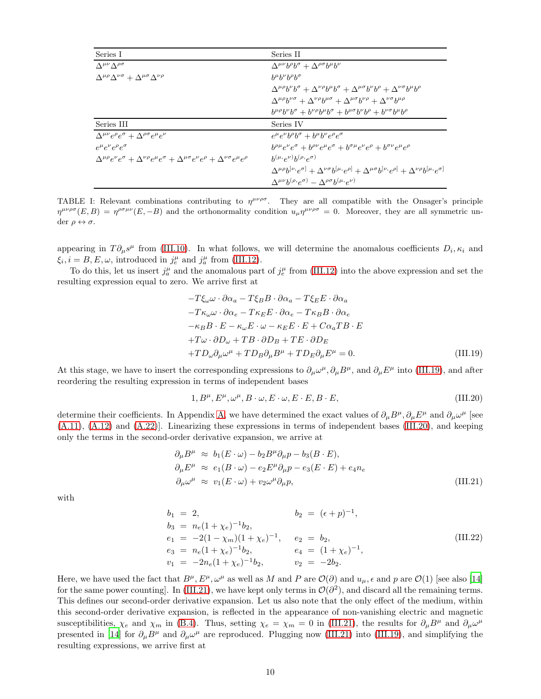| Series I                                                                                                                                        | Series II                                                                                                                                                   |
|-------------------------------------------------------------------------------------------------------------------------------------------------|-------------------------------------------------------------------------------------------------------------------------------------------------------------|
| $\Lambda^{\mu\nu} \Lambda^{\rho\sigma}$                                                                                                         | $\Delta^{\mu\nu}b^{\rho}b^{\sigma} + \Delta^{\rho\sigma}b^{\mu}b^{\nu}$                                                                                     |
| $\Delta^{\mu\rho}\Delta^{\nu\sigma} + \Delta^{\mu\sigma}\Delta^{\nu\rho}$                                                                       | $h^{\mu}h^{\nu}h^{\rho}h^{\sigma}$                                                                                                                          |
|                                                                                                                                                 | $\Delta^{\mu\rho}b^{\nu}b^{\sigma} + \Delta^{\nu\rho}b^{\mu}b^{\sigma} + \Delta^{\mu\sigma}b^{\nu}b^{\rho} + \Delta^{\nu\sigma}b^{\mu}b^{\rho}$             |
|                                                                                                                                                 | $\Delta^{\mu\rho}b^{\nu\sigma} + \Delta^{\nu\rho}b^{\mu\sigma} + \Delta^{\mu\sigma}b^{\nu\rho} + \Delta^{\nu\sigma}b^{\mu\rho}$                             |
|                                                                                                                                                 | $b^{\mu\rho}b^{\nu}b^{\sigma} + b^{\nu\rho}b^{\mu}b^{\sigma} + b^{\mu\sigma}b^{\nu}b^{\rho} + b^{\nu\sigma}b^{\mu}b^{\rho}$                                 |
| Series III                                                                                                                                      | Series IV                                                                                                                                                   |
| $\Delta^{\mu\nu}e^{\rho}e^{\sigma} + \Delta^{\rho\sigma}e^{\mu}e^{\nu}$                                                                         | $e^{\mu}e^{\nu}b^{\rho}b^{\sigma}+b^{\mu}b^{\nu}e^{\rho}e^{\sigma}$                                                                                         |
| $e^{\mu}e^{\nu}e^{\rho}e^{\sigma}$                                                                                                              | $b^{\rho\mu}e^{\nu}e^{\sigma} + b^{\rho\nu}e^{\mu}e^{\sigma} + b^{\sigma\mu}e^{\nu}e^{\rho} + b^{\sigma\nu}e^{\mu}e^{\rho}$                                 |
| $\Delta^{\mu\rho}e^{\nu}e^{\sigma} + \Delta^{\nu\rho}e^{\mu}e^{\sigma} + \Delta^{\mu\sigma}e^{\nu}e^{\rho} + \Delta^{\nu\sigma}e^{\mu}e^{\rho}$ | $h^{(\mu, \rho^{\nu})} h^{(\rho, \rho^{\sigma})}$                                                                                                           |
|                                                                                                                                                 | $\Delta^{\mu\rho}b^{[\nu,e^{\sigma}]} + \Delta^{\nu\sigma}b^{[\mu,e^{\rho}]} + \Delta^{\mu\sigma}b^{[\nu,e^{\rho}]} + \Delta^{\nu\rho}b^{[\mu,e^{\sigma}]}$ |
|                                                                                                                                                 | $\Delta^{\mu\nu}b^{(\rho)}e^{\sigma)} - \Delta^{\rho\sigma}b^{(\mu)}e^{\nu}$                                                                                |

<span id="page-9-0"></span>TABLE I: Relevant combinations contributing to  $\eta^{\mu\nu\rho\sigma}$ . They are all compatible with the Onsager's principle  $\eta^{\mu\nu\rho\sigma}(E,B) = \eta^{\rho\sigma\mu\nu}(E,-B)$  and the orthonormality condition  $u_{\mu}\eta^{\mu\nu\rho\sigma} = 0$ . Moreover, they are all symmetric under  $\rho \leftrightarrow \sigma$ .

appearing in  $T\partial_\mu s^\mu$  from [\(III.10\)](#page-6-5). In what follows, we will determine the anomalous coefficients  $D_i, \kappa_i$  and  $\xi_i, i = B, E, \omega$ , introduced in  $j_e^{\mu}$  and  $j_a^{\mu}$  from [\(III.12\)](#page-7-2).

To do this, let us insert  $j_a^{\mu}$  and the anomalous part of  $j_e^{\mu}$  from [\(III.12\)](#page-7-2) into the above expression and set the resulting expression equal to zero. We arrive first at

<span id="page-9-1"></span>
$$
-T\xi_{\omega}\omega \cdot \partial \alpha_{a} - T\xi_{B}B \cdot \partial \alpha_{a} - T\xi_{E}E \cdot \partial \alpha_{a}
$$
  
\n
$$
-T\kappa_{\omega}\omega \cdot \partial \alpha_{e} - T\kappa_{E}E \cdot \partial \alpha_{e} - T\kappa_{B}B \cdot \partial \alpha_{e}
$$
  
\n
$$
-\kappa_{B}B \cdot E - \kappa_{\omega}E \cdot \omega - \kappa_{E}E \cdot E + C\alpha_{a}TB \cdot E
$$
  
\n
$$
+T\omega \cdot \partial D_{\omega} + TB \cdot \partial D_{B} + TE \cdot \partial D_{E}
$$
  
\n
$$
+TD_{\omega}\partial_{\mu}\omega^{\mu} + TD_{B}\partial_{\mu}B^{\mu} + TD_{E}\partial_{\mu}E^{\mu} = 0.
$$
\n(III.19)

At this stage, we have to insert the corresponding expressions to  $\partial_\mu \omega^\mu$ ,  $\partial_\mu B^\mu$ , and  $\partial_\mu E^\mu$  into [\(III.19\)](#page-9-1), and after reordering the resulting expression in terms of independent bases

<span id="page-9-2"></span>
$$
1, B^{\mu}, E^{\mu}, \omega^{\mu}, B \cdot \omega, E \cdot \omega, E \cdot E, B \cdot E,
$$
\n(III.20)

determine their coefficients. In Appendix [A,](#page-14-0) we have determined the exact values of  $\partial_\mu B^\mu$ ,  $\partial_\mu E^\mu$  and  $\partial_\mu \omega^\mu$  [see  $(A.11)$ ,  $(A.12)$  and  $(A.22)$ ]. Linearizing these expressions in terms of independent bases [\(III.20\)](#page-9-2), and keeping only the terms in the second-order derivative expansion, we arrive at

<span id="page-9-3"></span>
$$
\partial_{\mu}B^{\mu} \approx b_1(E \cdot \omega) - b_2 B^{\mu} \partial_{\mu} p - b_3(B \cdot E),
$$
  
\n
$$
\partial_{\mu}E^{\mu} \approx e_1(B \cdot \omega) - e_2 E^{\mu} \partial_{\mu} p - e_3(E \cdot E) + e_4 n_e
$$
  
\n
$$
\partial_{\mu}\omega^{\mu} \approx v_1(E \cdot \omega) + v_2 \omega^{\mu} \partial_{\mu} p,
$$
\n(III.21)

with

$$
b_1 = 2,
$$
  
\n
$$
b_2 = (\epsilon + p)^{-1},
$$
  
\n
$$
b_3 = n_e(1 + \chi_e)^{-1}b_2,
$$
  
\n
$$
e_1 = -2(1 - \chi_m)(1 + \chi_e)^{-1},
$$
  
\n
$$
e_2 = b_2,
$$
  
\n
$$
e_3 = n_e(1 + \chi_e)^{-1}b_2,
$$
  
\n
$$
e_1 = (1 + \chi_e)^{-1},
$$
  
\n
$$
v_1 = -2n_e(1 + \chi_e)^{-1}b_2,
$$
  
\n
$$
v_2 = -2b_2.
$$
  
\n
$$
(III.22)
$$

Here, we have used the fact that  $B^{\mu}, E^{\mu}, \omega^{\mu}$  as well as M and P are  $\mathcal{O}(\partial)$  and  $u_{\mu}, \epsilon$  and p are  $\mathcal{O}(1)$  [see also [\[14](#page-18-10)] for the same power counting]. In [\(III.21\)](#page-9-3), we have kept only terms in  $\mathcal{O}(\partial^2)$ , and discard all the remaining terms. This defines our second-order derivative expansion. Let us also note that the only effect of the medium, within this second-order derivative expansion, is reflected in the appearance of non-vanishing electric and magnetic susceptibilities,  $\chi_e$  and  $\chi_m$  in [\(B.4\)](#page-17-1). Thus, setting  $\chi_e = \chi_m = 0$  in [\(III.21\)](#page-9-3), the results for  $\partial_\mu B^\mu$  and  $\partial_\mu \omega^\mu$ presented in [\[14\]](#page-18-10) for  $\partial_\mu B^\mu$  and  $\partial_\mu \omega^\mu$  are reproduced. Plugging now [\(III.21\)](#page-9-3) into [\(III.19\)](#page-9-1), and simplifying the resulting expressions, we arrive first at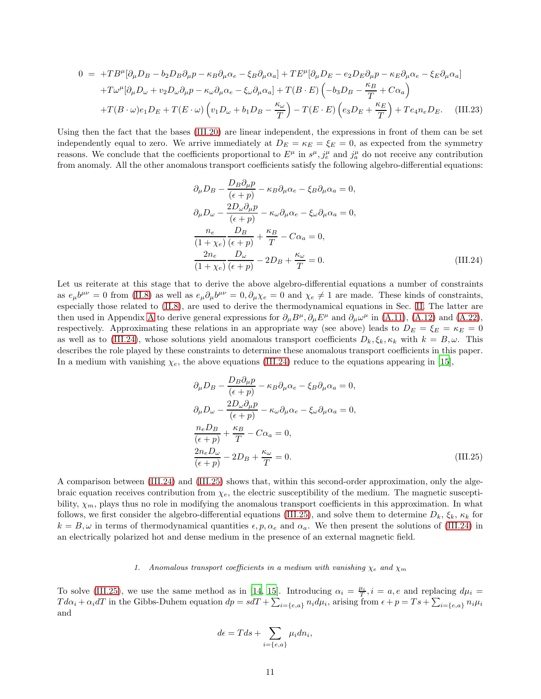$$
0 = +TB^{\mu}[\partial_{\mu}D_{B} - b_{2}D_{B}\partial_{\mu}p - \kappa_{B}\partial_{\mu}\alpha_{e} - \xi_{B}\partial_{\mu}\alpha_{a}] + TE^{\mu}[\partial_{\mu}D_{E} - e_{2}D_{E}\partial_{\mu}p - \kappa_{E}\partial_{\mu}\alpha_{e} - \xi_{E}\partial_{\mu}\alpha_{a}]
$$
  
+ $T\omega^{\mu}[\partial_{\mu}D_{\omega} + v_{2}D_{\omega}\partial_{\mu}p - \kappa_{\omega}\partial_{\mu}\alpha_{e} - \xi_{\omega}\partial_{\mu}\alpha_{a}] + T(B \cdot E) \left( -b_{3}D_{B} - \frac{\kappa_{B}}{T} + C\alpha_{a} \right)$   
+ $T(B \cdot \omega)e_{1}D_{E} + T(E \cdot \omega) \left( v_{1}D_{\omega} + b_{1}D_{B} - \frac{\kappa_{\omega}}{T} \right) - T(E \cdot E) \left( e_{3}D_{E} + \frac{\kappa_{E}}{T} \right) + Te_{4}n_{e}D_{E}.$  (III.23)

Using then the fact that the bases [\(III.20\)](#page-9-2) are linear independent, the expressions in front of them can be set independently equal to zero. We arrive immediately at  $D_E = \kappa_E = \xi_E = 0$ , as expected from the symmetry reasons. We conclude that the coefficients proportional to  $E^{\mu}$  in  $s^{\mu}, j^{\mu}_e$  and  $j^{\mu}_a$  do not receive any contribution from anomaly. All the other anomalous transport coefficients satisfy the following algebro-differential equations:

<span id="page-10-1"></span>
$$
\partial_{\mu}D_{B} - \frac{D_{B}\partial_{\mu}p}{(\epsilon+p)} - \kappa_{B}\partial_{\mu}\alpha_{e} - \xi_{B}\partial_{\mu}\alpha_{a} = 0,
$$
  
\n
$$
\partial_{\mu}D_{\omega} - \frac{2D_{\omega}\partial_{\mu}p}{(\epsilon+p)} - \kappa_{\omega}\partial_{\mu}\alpha_{e} - \xi_{\omega}\partial_{\mu}\alpha_{a} = 0,
$$
  
\n
$$
\frac{n_{e}}{(1+\chi_{e})}\frac{D_{B}}{(\epsilon+p)} + \frac{\kappa_{B}}{T} - C\alpha_{a} = 0,
$$
  
\n
$$
\frac{2n_{e}}{(1+\chi_{e})}\frac{D_{\omega}}{(\epsilon+p)} - 2D_{B} + \frac{\kappa_{\omega}}{T} = 0.
$$
\n(III.24)

Let us reiterate at this stage that to derive the above algebro-differential equations a number of constraints as  $e_{\mu}b^{\mu\nu} = 0$  from [\(II.8\)](#page-2-4) as well as  $e_{\mu}\partial_{\mu}b^{\mu\nu} = 0$ ,  $\partial_{\mu}\chi_e = 0$  and  $\chi_e \neq 1$  are made. These kinds of constraints, especially those related to [\(II.8\)](#page-2-4), are used to derive the thermodynamical equations in Sec. [II.](#page-1-0) The latter are then used in [A](#page-14-0)ppendix A to derive general expressions for  $\partial_{\mu}B^{\mu}, \partial_{\mu}E^{\mu}$  and  $\partial_{\mu}\omega^{\mu}$  in [\(A.11\)](#page-15-2), [\(A.12\)](#page-15-3) and [\(A.22\)](#page-16-1), respectively. Approximating these relations in an appropriate way (see above) leads to  $D_E = \xi_E = \kappa_E = 0$ as well as to [\(III.24\)](#page-10-1), whose solutions yield anomalous transport coefficients  $D_k, \xi_k, \kappa_k$  with  $k = B, \omega$ . This describes the role played by these constraints to determine these anomalous transport coefficients in this paper. In a medium with vanishing  $\chi_e$ , the above equations [\(III.24\)](#page-10-1) reduce to the equations appearing in [\[15\]](#page-18-11),

<span id="page-10-2"></span>
$$
\partial_{\mu}D_{B} - \frac{D_{B}\partial_{\mu}p}{(\epsilon+p)} - \kappa_{B}\partial_{\mu}\alpha_{e} - \xi_{B}\partial_{\mu}\alpha_{a} = 0,
$$
  
\n
$$
\partial_{\mu}D_{\omega} - \frac{2D_{\omega}\partial_{\mu}p}{(\epsilon+p)} - \kappa_{\omega}\partial_{\mu}\alpha_{e} - \xi_{\omega}\partial_{\mu}\alpha_{a} = 0,
$$
  
\n
$$
\frac{n_{e}D_{B}}{(\epsilon+p)} + \frac{\kappa_{B}}{T} - C\alpha_{a} = 0,
$$
  
\n
$$
\frac{2n_{e}D_{\omega}}{(\epsilon+p)} - 2D_{B} + \frac{\kappa_{\omega}}{T} = 0.
$$
\n(III.25)

A comparison between [\(III.24\)](#page-10-1) and [\(III.25\)](#page-10-2) shows that, within this second-order approximation, only the algebraic equation receives contribution from  $\chi_e$ , the electric susceptibility of the medium. The magnetic susceptibility,  $\chi_m$ , plays thus no role in modifying the anomalous transport coefficients in this approximation. In what follows, we first consider the algebro-differential equations [\(III.25\)](#page-10-2), and solve them to determine  $D_k$ ,  $\xi_k$ ,  $\kappa_k$  for  $k = B, \omega$  in terms of thermodynamical quantities  $\epsilon, p, \alpha_e$  and  $\alpha_a$ . We then present the solutions of [\(III.24\)](#page-10-1) in an electrically polarized hot and dense medium in the presence of an external magnetic field.

### <span id="page-10-0"></span>1. Anomalous transport coefficients in a medium with vanishing  $\chi_e$  and  $\chi_m$

To solve [\(III.25\)](#page-10-2), we use the same method as in [\[14](#page-18-10), [15\]](#page-18-11). Introducing  $\alpha_i = \frac{\mu_i}{T}$ ,  $i = a, e$  and replacing  $d\mu_i =$  $Td\alpha_i+\alpha_i dT$  in the Gibbs-Duhem equation  $dp = sdT + \sum_{i=\{e,a\}} n_i d\mu_i$ , arising from  $\epsilon+p = Ts + \sum_{i=\{e,a\}} n_i \mu_i$ and

$$
d\epsilon = Tds + \sum_{i=\{e,a\}} \mu_i dn_i,
$$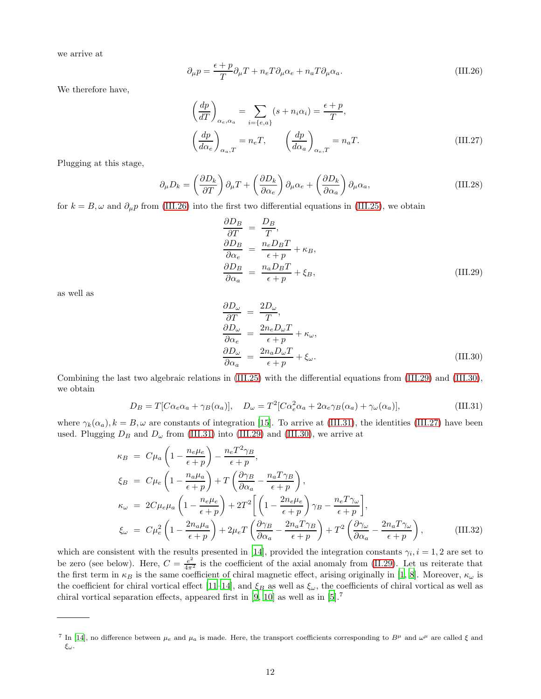we arrive at

<span id="page-11-0"></span>
$$
\partial_{\mu}p = \frac{\epsilon + p}{T}\partial_{\mu}T + n_eT\partial_{\mu}\alpha_e + n_aT\partial_{\mu}\alpha_a.
$$
 (III.26)

We therefore have,

<span id="page-11-4"></span>
$$
\left(\frac{dp}{dT}\right)_{\alpha_e, \alpha_a} = \sum_{i=\{e, a\}} (s + n_i \alpha_i) = \frac{\epsilon + p}{T},
$$
\n
$$
\left(\frac{dp}{d\alpha_e}\right)_{\alpha_a, T} = n_e T, \qquad \left(\frac{dp}{d\alpha_a}\right)_{\alpha_e, T} = n_a T.
$$
\n(III.27)

Plugging at this stage,

$$
\partial_{\mu}D_{k} = \left(\frac{\partial D_{k}}{\partial T}\right)\partial_{\mu}T + \left(\frac{\partial D_{k}}{\partial \alpha_{e}}\right)\partial_{\mu}\alpha_{e} + \left(\frac{\partial D_{k}}{\partial \alpha_{a}}\right)\partial_{\mu}\alpha_{a},\tag{III.28}
$$

for  $k = B, \omega$  and  $\partial_{\mu} p$  from [\(III.26\)](#page-11-0) into the first two differential equations in [\(III.25\)](#page-10-2), we obtain

<span id="page-11-1"></span>
$$
\frac{\partial D_B}{\partial T} = \frac{D_B}{T},
$$
\n
$$
\frac{\partial D_B}{\partial \alpha_e} = \frac{n_e D_B T}{\epsilon + p} + \kappa_B,
$$
\n
$$
\frac{\partial D_B}{\partial \alpha_a} = \frac{n_a D_B T}{\epsilon + p} + \xi_B,
$$
\n(III.29)

as well as

<span id="page-11-2"></span>
$$
\begin{aligned}\n\frac{\partial D_{\omega}}{\partial T} &= \frac{2D_{\omega}}{T},\\ \n\frac{\partial D_{\omega}}{\partial \alpha_e} &= \frac{2n_e D_{\omega} T}{\epsilon + p} + \kappa_{\omega},\\ \n\frac{\partial D_{\omega}}{\partial \alpha_a} &= \frac{2n_a D_{\omega} T}{\epsilon + p} + \xi_{\omega}.\n\end{aligned} \tag{III.30}
$$

Combining the last two algebraic relations in [\(III.25\)](#page-10-2) with the differential equations from [\(III.29\)](#page-11-1) and [\(III.30\)](#page-11-2), we obtain

<span id="page-11-3"></span>
$$
D_B = T[C\alpha_e\alpha_a + \gamma_B(\alpha_a)], \quad D_{\omega} = T^2[C\alpha_e^2\alpha_a + 2\alpha_e\gamma_B(\alpha_a) + \gamma_{\omega}(\alpha_a)], \tag{III.31}
$$

where  $\gamma_k(\alpha_a), k = B, \omega$  are constants of integration [\[15\]](#page-18-11). To arrive at [\(III.31\)](#page-11-3), the identities [\(III.27\)](#page-11-4) have been used. Plugging  $D_B$  and  $D_{\omega}$  from [\(III.31\)](#page-11-3) into [\(III.29\)](#page-11-1) and [\(III.30\)](#page-11-2), we arrive at

<span id="page-11-5"></span>
$$
\kappa_B = C\mu_a \left( 1 - \frac{n_e \mu_e}{\epsilon + p} \right) - \frac{n_e T^2 \gamma_B}{\epsilon + p},
$$
\n
$$
\xi_B = C\mu_e \left( 1 - \frac{n_a \mu_a}{\epsilon + p} \right) + T \left( \frac{\partial \gamma_B}{\partial \alpha_a} - \frac{n_a T \gamma_B}{\epsilon + p} \right),
$$
\n
$$
\kappa_\omega = 2C\mu_e \mu_a \left( 1 - \frac{n_e \mu_e}{\epsilon + p} \right) + 2T^2 \left[ \left( 1 - \frac{2n_e \mu_e}{\epsilon + p} \right) \gamma_B - \frac{n_e T \gamma_\omega}{\epsilon + p} \right],
$$
\n
$$
\xi_\omega = C\mu_e^2 \left( 1 - \frac{2n_a \mu_a}{\epsilon + p} \right) + 2\mu_e T \left( \frac{\partial \gamma_B}{\partial \alpha_a} - \frac{2n_a T \gamma_B}{\epsilon + p} \right) + T^2 \left( \frac{\partial \gamma_\omega}{\partial \alpha_a} - \frac{2n_a T \gamma_\omega}{\epsilon + p} \right),
$$
\n(III.32)

which are consistent with the results presented in [\[14\]](#page-18-10), provided the integration constants  $\gamma_i$ ,  $i = 1, 2$  are set to be zero (see below). Here,  $C = \frac{e^2}{4\pi^2}$  is the coefficient of the axial anomaly from [\(II.29\)](#page-5-2). Let us reiterate that the first term in  $\kappa_B$  is the same coefficient of chiral magnetic effect, arising originally in [\[1,](#page-18-0) [8\]](#page-18-6). Moreover,  $\kappa_\omega$  is the coefficient for chiral vortical effect [\[11](#page-18-9)[–14\]](#page-18-10), and  $\xi_B$  as well as  $\xi_\omega$ , the coefficients of chiral vortical as well as chiral vortical separation effects, appeared first in [\[9](#page-18-7), [10\]](#page-18-8) as well as in [\[5\]](#page-18-3).<sup>7</sup>

<sup>&</sup>lt;sup>7</sup> In [\[14\]](#page-18-10), no difference between  $\mu_e$  and  $\mu_a$  is made. Here, the transport coefficients corresponding to  $B^{\mu}$  and  $\omega^{\mu}$  are called  $\xi$  and ξω.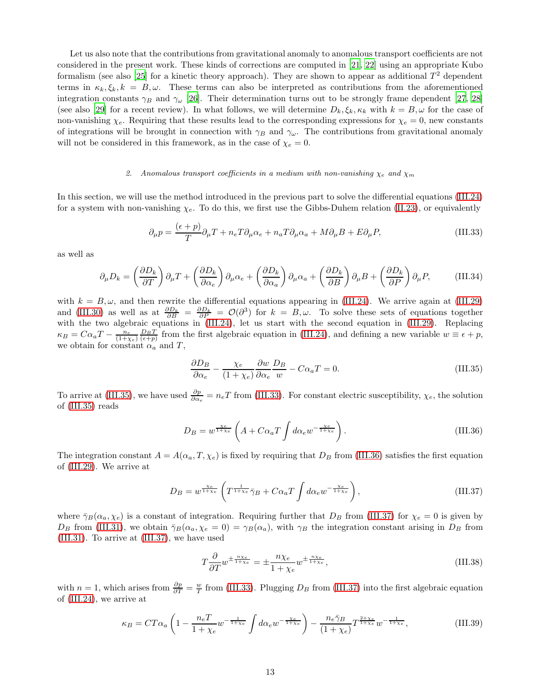Let us also note that the contributions from gravitational anomaly to anomalous transport coefficients are not considered in the present work. These kinds of corrections are computed in [\[21,](#page-18-17) [22\]](#page-18-18) using an appropriate Kubo formalism (see also [\[25](#page-18-21)] for a kinetic theory approach). They are shown to appear as additional  $T^2$  dependent terms in  $\kappa_k, \xi_k, k = B, \omega$ . These terms can also be interpreted as contributions from the aforementioned integration constants  $\gamma_B$  and  $\gamma_\omega$  [\[26\]](#page-18-22). Their determination turns out to be strongly frame dependent [\[27,](#page-19-0) [28](#page-19-1)] (see also [\[29](#page-19-2)] for a recent review). In what follows, we will determine  $D_k, \xi_k, \kappa_k$  with  $k = B, \omega$  for the case of non-vanishing  $\chi_e$ . Requiring that these results lead to the corresponding expressions for  $\chi_e = 0$ , new constants of integrations will be brought in connection with  $\gamma_B$  and  $\gamma_\omega$ . The contributions from gravitational anomaly will not be considered in this framework, as in the case of  $\chi_e = 0$ .

# <span id="page-12-0"></span>2. Anomalous transport coefficients in a medium with non-vanishing  $\chi_e$  and  $\chi_m$

In this section, we will use the method introduced in the previous part to solve the differential equations [\(III.24\)](#page-10-1) for a system with non-vanishing  $\chi_e$ . To do this, we first use the Gibbs-Duhem relation [\(II.23\)](#page-4-4), or equivalently

<span id="page-12-2"></span>
$$
\partial_{\mu}p = \frac{(\epsilon + p)}{T}\partial_{\mu}T + n_{e}T\partial_{\mu}\alpha_{e} + n_{a}T\partial_{\mu}\alpha_{a} + M\partial_{\mu}B + E\partial_{\mu}P, \tag{III.33}
$$

as well as

$$
\partial_{\mu}D_{k} = \left(\frac{\partial D_{k}}{\partial T}\right)\partial_{\mu}T + \left(\frac{\partial D_{k}}{\partial \alpha_{e}}\right)\partial_{\mu}\alpha_{e} + \left(\frac{\partial D_{k}}{\partial \alpha_{a}}\right)\partial_{\mu}\alpha_{a} + \left(\frac{\partial D_{k}}{\partial B}\right)\partial_{\mu}B + \left(\frac{\partial D_{k}}{\partial P}\right)\partial_{\mu}P, \tag{III.34}
$$

with  $k = B, \omega$ , and then rewrite the differential equations appearing in [\(III.24\)](#page-10-1). We arrive again at [\(III.29\)](#page-11-1) and [\(III.30\)](#page-11-2) as well as at  $\frac{\partial D_k}{\partial B} = \frac{\partial D_k}{\partial P} = \mathcal{O}(\partial^3)$  for  $k = B, \omega$ . To solve these sets of equations together with the two algebraic equations in [\(III.24\)](#page-10-1), let us start with the second equation in [\(III.29\)](#page-11-1). Replacing  $\kappa_B = C\alpha_a T - \frac{n_e}{(1+\chi_e)} \frac{D_B T}{(\epsilon+p)}$  from the first algebraic equation in [\(III.24\)](#page-10-1), and defining a new variable  $w \equiv \epsilon+p$ , we obtain for constant  $\alpha_a$  and T,

<span id="page-12-1"></span>
$$
\frac{\partial D_B}{\partial \alpha_e} - \frac{\chi_e}{(1 + \chi_e)} \frac{\partial w}{\partial \alpha_e} \frac{D_B}{w} - C\alpha_a T = 0.
$$
 (III.35)

To arrive at [\(III.35\)](#page-12-1), we have used  $\frac{\partial p}{\partial \alpha_e} = n_e T$  from [\(III.33\)](#page-12-2). For constant electric susceptibility,  $\chi_e$ , the solution of [\(III.35\)](#page-12-1) reads

<span id="page-12-3"></span>
$$
D_B = w^{\frac{\chi_e}{1+\chi_e}} \left( A + C\alpha_a T \int d\alpha_e w^{-\frac{\chi_e}{1+\chi_e}} \right). \tag{III.36}
$$

The integration constant  $A = A(\alpha_a, T, \chi_e)$  is fixed by requiring that  $D_B$  from [\(III.36\)](#page-12-3) satisfies the first equation of [\(III.29\)](#page-11-1). We arrive at

<span id="page-12-4"></span>
$$
D_B = w^{\frac{\chi_e}{1+\chi_e}} \left( T^{\frac{1}{1+\chi_e}} \bar{\gamma}_B + C \alpha_a T \int d\alpha_e w^{-\frac{\chi_e}{1+\chi_e}} \right),\tag{III.37}
$$

where  $\bar{\gamma}_B(\alpha_a, \chi_e)$  is a constant of integration. Requiring further that  $D_B$  from [\(III.37\)](#page-12-4) for  $\chi_e = 0$  is given by  $D_B$  from [\(III.31\)](#page-11-3), we obtain  $\bar{\gamma}_B(\alpha_a, \chi_e = 0) = \gamma_B(\alpha_a)$ , with  $\gamma_B$  the integration constant arising in  $D_B$  from [\(III.31\)](#page-11-3). To arrive at [\(III.37\)](#page-12-4), we have used

$$
T\frac{\partial}{\partial T}w^{\pm \frac{n\chi_e}{1+\chi_e}} = \pm \frac{n\chi_e}{1+\chi_e}w^{\pm \frac{n\chi_e}{1+\chi_e}},\tag{III.38}
$$

with  $n = 1$ , which arises from  $\frac{\partial p}{\partial T} = \frac{w}{T}$  from [\(III.33\)](#page-12-2). Plugging  $D_B$  from [\(III.37\)](#page-12-4) into the first algebraic equation of [\(III.24\)](#page-10-1), we arrive at

$$
\kappa_B = CT\alpha_a \left( 1 - \frac{n_e T}{1 + \chi_e} w^{-\frac{1}{1 + \chi_e}} \int d\alpha_e w^{-\frac{\chi_e}{1 + \chi_e}} \right) - \frac{n_e \bar{\gamma}_B}{(1 + \chi_e)} T^{\frac{2 + \chi_e}{1 + \chi_e}} w^{-\frac{1}{1 + \chi_e}}, \tag{III.39}
$$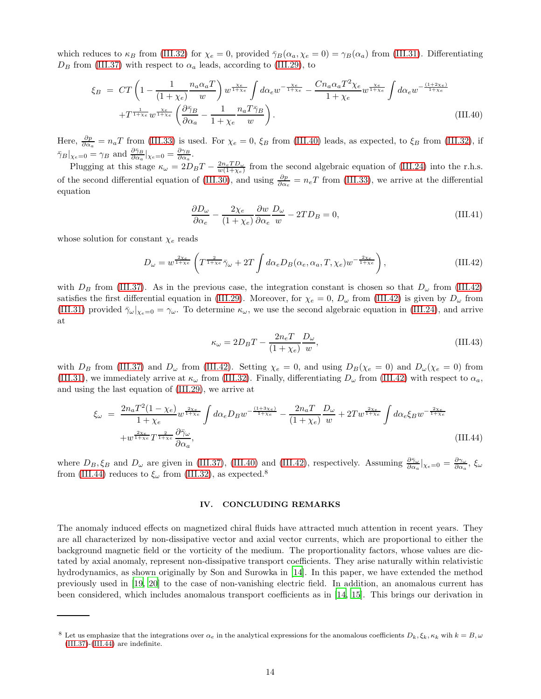which reduces to  $\kappa_B$  from [\(III.32\)](#page-11-5) for  $\chi_e = 0$ , provided  $\bar{\gamma}_B(\alpha_a, \chi_e = 0) = \gamma_B(\alpha_a)$  from [\(III.31\)](#page-11-3). Differentiating  $D_B$  from [\(III.37\)](#page-12-4) with respect to  $\alpha_a$  leads, according to [\(III.29\)](#page-11-1), to

<span id="page-13-1"></span>
$$
\xi_B = CT \left( 1 - \frac{1}{(1 + \chi_e)} \frac{n_a \alpha_a T}{w} \right) w^{\frac{\chi_e}{1 + \chi_e}} \int d\alpha_e w^{-\frac{\chi_e}{1 + \chi_e}} - \frac{C n_a \alpha_a T^2 \chi_e}{1 + \chi_e} w^{\frac{\chi_e}{1 + \chi_e}} \int d\alpha_e w^{-\frac{(1 + 2\chi_e)}{1 + \chi_e}} + T^{\frac{1}{1 + \chi_e}} w^{\frac{\chi_e}{1 + \chi_e}} \left( \frac{\partial \bar{\gamma}_B}{\partial \alpha_a} - \frac{1}{1 + \chi_e} \frac{n_a T \bar{\gamma}_B}{w} \right).
$$
\n(III.40)

Here,  $\frac{\partial p}{\partial \alpha_a} = n_a T$  from [\(III.33\)](#page-12-2) is used. For  $\chi_e = 0$ ,  $\xi_B$  from [\(III.40\)](#page-13-1) leads, as expected, to  $\xi_B$  from [\(III.32\)](#page-11-5), if  $\bar{\gamma}_B|_{\chi_e=0} = \gamma_B \text{ and } \frac{\partial \bar{\gamma}_B}{\partial \alpha_a}|_{\chi_e=0} = \frac{\partial \gamma_B}{\partial \alpha_a}.$ 

Plugging at this stage  $\kappa_{\omega} = 2D_B T - \frac{2n_e T D_{\omega}}{w(1 + \chi_e)}$  from the second algebraic equation of [\(III.24\)](#page-10-1) into the r.h.s. of the second differential equation of [\(III.30\)](#page-11-2), and using  $\frac{\partial p}{\partial \alpha_e} = n_e T$  from [\(III.33\)](#page-12-2), we arrive at the differential equation

$$
\frac{\partial D_{\omega}}{\partial \alpha_e} - \frac{2\chi_e}{(1+\chi_e)} \frac{\partial w}{\partial \alpha_e} \frac{D_{\omega}}{w} - 2TD_B = 0,
$$
\n(III.41)

whose solution for constant  $\chi_e$  reads

<span id="page-13-2"></span>
$$
D_{\omega} = w^{\frac{2\chi_e}{1+\chi_e}} \left( T^{\frac{2}{1+\chi_e}} \bar{\gamma}_{\omega} + 2T \int d\alpha_e D_B(\alpha_e, \alpha_a, T, \chi_e) w^{-\frac{2\chi_e}{1+\chi_e}} \right), \tag{III.42}
$$

with  $D_B$  from [\(III.37\)](#page-12-4). As in the previous case, the integration constant is chosen so that  $D_{\omega}$  from [\(III.42\)](#page-13-2) satisfies the first differential equation in [\(III.29\)](#page-11-1). Moreover, for  $\chi_e = 0$ ,  $D_\omega$  from [\(III.42\)](#page-13-2) is given by  $D_\omega$  from [\(III.31\)](#page-11-3) provided  $\bar{\gamma}_{\omega}|_{\chi_e=0}=\gamma_{\omega}$ . To determine  $\kappa_{\omega}$ , we use the second algebraic equation in [\(III.24\)](#page-10-1), and arrive at

$$
\kappa_{\omega} = 2D_B T - \frac{2n_e T}{(1 + \chi_e)} \frac{D_{\omega}}{w},\tag{III.43}
$$

with  $D_B$  from [\(III.37\)](#page-12-4) and  $D_{\omega}$  from [\(III.42\)](#page-13-2). Setting  $\chi_e = 0$ , and using  $D_B(\chi_e = 0)$  and  $D_{\omega}(\chi_e = 0)$  from [\(III.31\)](#page-11-3), we immediately arrive at  $\kappa_{\omega}$  from [\(III.32\)](#page-11-5). Finally, differentiating  $D_{\omega}$  from [\(III.42\)](#page-13-2) with respect to  $\alpha_a$ , and using the last equation of [\(III.29\)](#page-11-1), we arrive at

<span id="page-13-3"></span>
$$
\xi_{\omega} = \frac{2n_a T^2 (1 - \chi_e)}{1 + \chi_e} w^{\frac{2\chi_e}{1 + \chi_e}} \int d\alpha_e D_B w^{-\frac{(1 + 3\chi_e)}{1 + \chi_e}} - \frac{2n_a T}{(1 + \chi_e)} \frac{D_{\omega}}{w} + 2T w^{\frac{2\chi_e}{1 + \chi_e}} \int d\alpha_e \xi_B w^{-\frac{2\chi_e}{1 + \chi_e}} + w^{\frac{2\chi_e}{1 + \chi_e}} T^{\frac{2}{1 + \chi_e}} \frac{\partial \bar{\gamma}_{\omega}}{\partial \alpha_a},
$$
\n(III.44)

where  $D_B, \xi_B$  and  $D_\omega$  are given in [\(III.37\)](#page-12-4), [\(III.40\)](#page-13-1) and [\(III.42\)](#page-13-2), respectively. Assuming  $\frac{\partial \tilde{\gamma}_\omega}{\partial \alpha_a} |_{\chi_e=0} = \frac{\partial \gamma_\omega}{\partial \alpha_a}$ ,  $\xi_\omega$ from [\(III.44\)](#page-13-3) reduces to  $\xi_{\omega}$  from [\(III.32\)](#page-11-5), as expected.<sup>8</sup>

# <span id="page-13-0"></span>IV. CONCLUDING REMARKS

The anomaly induced effects on magnetized chiral fluids have attracted much attention in recent years. They are all characterized by non-dissipative vector and axial vector currents, which are proportional to either the background magnetic field or the vorticity of the medium. The proportionality factors, whose values are dictated by axial anomaly, represent non-dissipative transport coefficients. They arise naturally within relativistic hydrodynamics, as shown originally by Son and Surowka in [\[14](#page-18-10)]. In this paper, we have extended the method previously used in [\[19,](#page-18-15) [20\]](#page-18-16) to the case of non-vanishing electric field. In addition, an anomalous current has been considered, which includes anomalous transport coefficients as in [\[14,](#page-18-10) [15\]](#page-18-11). This brings our derivation in

<sup>&</sup>lt;sup>8</sup> Let us emphasize that the integrations over  $\alpha_e$  in the analytical expressions for the anomalous coefficients  $D_k, \xi_k, \kappa_k$  wih  $k = B, \omega$ [\(III.37\)](#page-12-4)-[\(III.44\)](#page-13-3) are indefinite.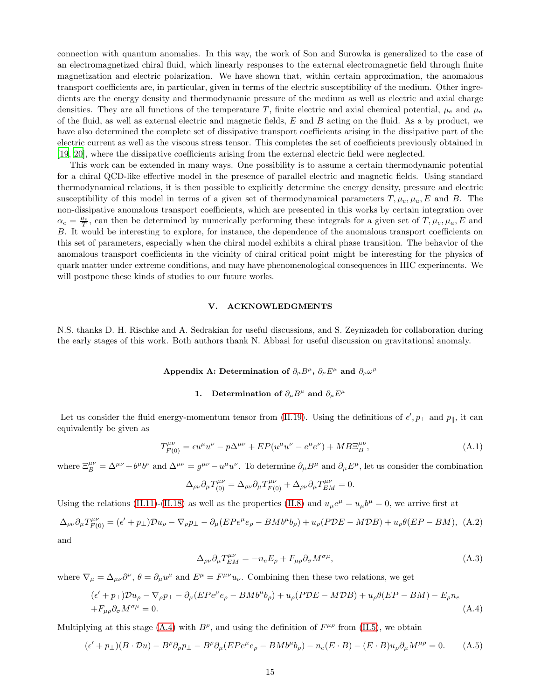connection with quantum anomalies. In this way, the work of Son and Surowka is generalized to the case of an electromagnetized chiral fluid, which linearly responses to the external electromagnetic field through finite magnetization and electric polarization. We have shown that, within certain approximation, the anomalous transport coefficients are, in particular, given in terms of the electric susceptibility of the medium. Other ingredients are the energy density and thermodynamic pressure of the medium as well as electric and axial charge densities. They are all functions of the temperature T, finite electric and axial chemical potential,  $\mu_e$  and  $\mu_a$ of the fluid, as well as external electric and magnetic fields,  $E$  and  $B$  acting on the fluid. As a by product, we have also determined the complete set of dissipative transport coefficients arising in the dissipative part of the electric current as well as the viscous stress tensor. This completes the set of coefficients previously obtained in [\[19,](#page-18-15) [20\]](#page-18-16), where the dissipative coefficients arising from the external electric field were neglected.

This work can be extended in many ways. One possibility is to assume a certain thermodynamic potential for a chiral QCD-like effective model in the presence of parallel electric and magnetic fields. Using standard thermodynamical relations, it is then possible to explicitly determine the energy density, pressure and electric susceptibility of this model in terms of a given set of thermodynamical parameters  $T, \mu_e, \mu_a, E$  and B. The non-dissipative anomalous transport coefficients, which are presented in this works by certain integration over  $\alpha_e = \frac{\mu_e}{T}$ , can then be determined by numerically performing these integrals for a given set of  $T, \mu_e, \mu_a, E$  and B. It would be interesting to explore, for instance, the dependence of the anomalous transport coefficients on this set of parameters, especially when the chiral model exhibits a chiral phase transition. The behavior of the anomalous transport coefficients in the vicinity of chiral critical point might be interesting for the physics of quark matter under extreme conditions, and may have phenomenological consequences in HIC experiments. We will postpone these kinds of studies to our future works.

## V. ACKNOWLEDGMENTS

N.S. thanks D. H. Rischke and A. Sedrakian for useful discussions, and S. Zeynizadeh for collaboration during the early stages of this work. Both authors thank N. Abbasi for useful discussion on gravitational anomaly.

# <span id="page-14-0"></span>Appendix A: Determination of  $\partial_{\mu}B^{\mu}$ ,  $\partial_{\mu}E^{\mu}$  and  $\partial_{\mu}\omega^{\mu}$

# 1. Determination of  $\partial_{\mu}B^{\mu}$  and  $\partial_{\mu}E^{\mu}$

Let us consider the fluid energy-momentum tensor from [\(II.19\)](#page-4-0). Using the definitions of  $\epsilon', p_{\perp}$  and  $p_{\parallel}$ , it can equivalently be given as

$$
T_{F(0)}^{\mu\nu} = \epsilon u^{\mu} u^{\nu} - p\Delta^{\mu\nu} + E P(u^{\mu} u^{\nu} - e^{\mu} e^{\nu}) + M B \Xi_B^{\mu\nu}, \tag{A.1}
$$

where  $\Xi_B^{\mu\nu} = \Delta^{\mu\nu} + b^{\mu}b^{\nu}$  and  $\Delta^{\mu\nu} = g^{\mu\nu} - u^{\mu}u^{\nu}$ . To determine  $\partial_{\mu}B^{\mu}$  and  $\partial_{\mu}E^{\mu}$ , let us consider the combination

$$
\Delta_{\rho\nu}\partial_{\mu}T_{(0)}^{\mu\nu} = \Delta_{\rho\nu}\partial_{\mu}T_{F(0)}^{\mu\nu} + \Delta_{\rho\nu}\partial_{\mu}T_{EM}^{\mu\nu} = 0.
$$

Using the relations [\(II.11\)](#page-3-1)-[\(II.18\)](#page-3-5) as well as the properties [\(II.8\)](#page-2-4) and  $u_{\mu}e^{\mu} = u_{\mu}b^{\mu} = 0$ , we arrive first at

$$
\Delta_{\rho\nu}\partial_{\mu}T_{F(0)}^{\mu\nu} = (\epsilon' + p_{\perp})\mathcal{D}u_{\rho} - \nabla_{\rho}p_{\perp} - \partial_{\mu}(EPe^{\mu}e_{\rho} - BMb^{\mu}b_{\rho}) + u_{\rho}(PDE - MDB) + u_{\rho}\theta(EP - BM),
$$
 (A.2) and

$$
\Delta_{\rho\nu}\partial_{\mu}T_{EM}^{\mu\nu} = -n_e E_{\rho} + F_{\mu\rho}\partial_{\sigma}M^{\sigma\mu},\tag{A.3}
$$

where  $\nabla_{\mu} = \Delta_{\mu\nu} \partial^{\nu}$ ,  $\theta = \partial_{\mu} u^{\mu}$  and  $E^{\mu} = F^{\mu\nu} u_{\nu}$ . Combining then these two relations, we get

<span id="page-14-1"></span>
$$
(\epsilon' + p_{\perp})Du_{\rho} - \nabla_{\rho}p_{\perp} - \partial_{\mu}(EPe^{\mu}e_{\rho} - BMb^{\mu}b_{\rho}) + u_{\rho}(PDE - MDB) + u_{\rho}\theta(EP - BM) - E_{\rho}n_{e}
$$
  
+ $F_{\mu\rho}\partial_{\sigma}M^{\sigma\mu} = 0.$  (A.4)

Multiplying at this stage [\(A.4\)](#page-14-1) with  $B^{\rho}$ , and using the definition of  $F^{\mu\rho}$  from [\(II.5\)](#page-2-1), we obtain

$$
(\epsilon' + p_{\perp})(B \cdot \mathcal{D}u) - B^{\rho}\partial_{\rho}p_{\perp} - B^{\rho}\partial_{\mu}(E P e^{\mu} e_{\rho} - B M b^{\mu} b_{\rho}) - n_e(E \cdot B) - (E \cdot B)u_{\rho}\partial_{\mu}M^{\mu\rho} = 0.
$$
 (A.5)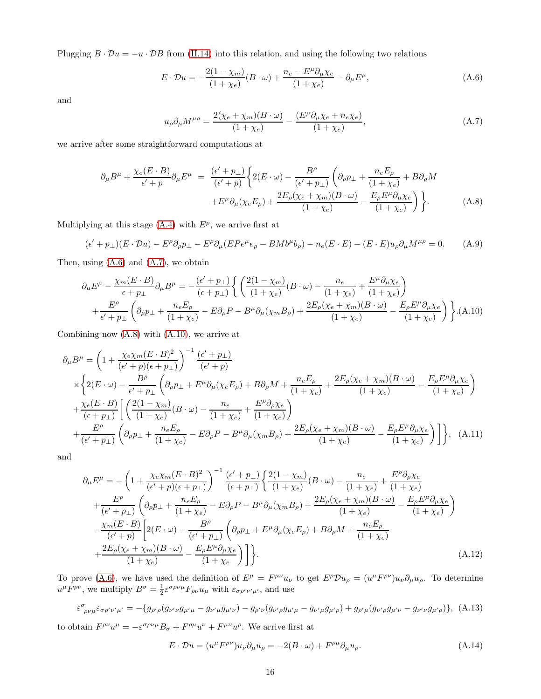Plugging  $B \cdot \mathcal{D}u = -u \cdot \mathcal{D}B$  from [\(II.14\)](#page-3-3) into this relation, and using the following two relations

<span id="page-15-1"></span>
$$
E \cdot \mathcal{D}u = -\frac{2(1 - \chi_m)}{(1 + \chi_e)} (B \cdot \omega) + \frac{n_e - E^{\mu} \partial_{\mu} \chi_e}{(1 + \chi_e)} - \partial_{\mu} E^{\mu}, \tag{A.6}
$$

and

<span id="page-15-4"></span>
$$
u_{\rho}\partial_{\mu}M^{\mu\rho} = \frac{2(\chi_e + \chi_m)(B \cdot \omega)}{(1 + \chi_e)} - \frac{(E^{\mu}\partial_{\mu}\chi_e + n_e\chi_e)}{(1 + \chi_e)},
$$
(A.7)

we arrive after some straightforward computations at

<span id="page-15-5"></span>
$$
\partial_{\mu}B^{\mu} + \frac{\chi_{e}(E \cdot B)}{\epsilon' + p} \partial_{\mu}E^{\mu} = \frac{(\epsilon' + p_{\perp})}{(\epsilon' + p)} \bigg\{ 2(E \cdot \omega) - \frac{B^{\rho}}{(\epsilon' + p_{\perp})} \left( \partial_{\rho}p_{\perp} + \frac{n_{e}E_{\rho}}{(1 + \chi_{e})} + B\partial_{\rho}M \right. \\ \left. + E^{\mu}\partial_{\mu}(\chi_{e}E_{\rho}) + \frac{2E_{\rho}(\chi_{e} + \chi_{m})(B \cdot \omega)}{(1 + \chi_{e})} - \frac{E_{\rho}E^{\mu}\partial_{\mu}\chi_{e}}{(1 + \chi_{e})} \right) \bigg\}.
$$
(A.8)

Multiplying at this stage  $(A.4)$  with  $E^{\rho}$ , we arrive first at

$$
(\epsilon' + p_{\perp})(E \cdot \mathcal{D}u) - E^{\rho}\partial_{\rho}p_{\perp} - E^{\rho}\partial_{\mu}(E P e^{\mu} e_{\rho} - B M b^{\mu} b_{\rho}) - n_e(E \cdot E) - (E \cdot E)u_{\rho}\partial_{\mu}M^{\mu\rho} = 0.
$$
 (A.9)

Then, using [\(A.6\)](#page-15-1) and [\(A.7\)](#page-15-4), we obtain

<span id="page-15-6"></span>
$$
\partial_{\mu}E^{\mu} - \frac{\chi_{m}(E \cdot B)}{\epsilon + p_{\perp}} \partial_{\mu}B^{\mu} = -\frac{(\epsilon' + p_{\perp})}{(\epsilon + p_{\perp})} \left\{ \left( \frac{2(1 - \chi_{m})}{(1 + \chi_{e})} (B \cdot \omega) - \frac{n_{e}}{(1 + \chi_{e})} + \frac{E^{\mu} \partial_{\mu} \chi_{e}}{(1 + \chi_{e})} \right) + \frac{E^{\rho}}{\epsilon' + p_{\perp}} \left( \partial_{\rho}p_{\perp} + \frac{n_{e}E_{\rho}}{(1 + \chi_{e})} - E \partial_{\rho}P - B^{\mu} \partial_{\mu}(\chi_{m}B_{\rho}) + \frac{2E_{\rho}(\chi_{e} + \chi_{m})(B \cdot \omega)}{(1 + \chi_{e})} - \frac{E_{\rho}E^{\mu} \partial_{\mu} \chi_{e}}{(1 + \chi_{e})} \right\} .
$$
(A.10)

Combining now [\(A.8\)](#page-15-5) with [\(A.10\)](#page-15-6), we arrive at

<span id="page-15-2"></span>
$$
\partial_{\mu}B^{\mu} = \left(1 + \frac{\chi_{e}\chi_{m}(E \cdot B)^{2}}{(\epsilon' + p)(\epsilon + p_{\perp})}\right)^{-1} \frac{(\epsilon' + p_{\perp})}{(\epsilon' + p)}
$$
\n
$$
\times \left\{2(E \cdot \omega) - \frac{B^{\rho}}{\epsilon' + p_{\perp}} \left(\partial_{\rho}p_{\perp} + E^{\mu}\partial_{\mu}(\chi_{e}E_{\rho}) + B\partial_{\rho}M + \frac{n_{e}E_{\rho}}{(1 + \chi_{e})} + \frac{2E_{\rho}(\chi_{e} + \chi_{m})(B \cdot \omega)}{(1 + \chi_{e})} - \frac{E_{\rho}E^{\mu}\partial_{\mu}\chi_{e}}{(1 + \chi_{e})}\right\}
$$
\n
$$
+ \frac{\chi_{e}(E \cdot B)}{(\epsilon + p_{\perp})} \left[ \left(\frac{2(1 - \chi_{m})}{(1 + \chi_{e})}(B \cdot \omega) - \frac{n_{e}}{(1 + \chi_{e})} + \frac{E^{\rho}\partial_{\rho}\chi_{e}}{(1 + \chi_{e})}\right) + \frac{E^{\rho}}{(\epsilon' + p_{\perp})} \left(\partial_{\rho}p_{\perp} + \frac{n_{e}E_{\rho}}{(1 + \chi_{e})} - E\partial_{\rho}P - B^{\mu}\partial_{\mu}(\chi_{m}B_{\rho}) + \frac{2E_{\rho}(\chi_{e} + \chi_{m})(B \cdot \omega)}{(1 + \chi_{e})} - \frac{E_{\rho}E^{\mu}\partial_{\mu}\chi_{e}}{(1 + \chi_{e})}\right) \right\}, \quad (A.11)
$$

and

<span id="page-15-3"></span>
$$
\partial_{\mu}E^{\mu} = -\left(1 + \frac{\chi_{e}\chi_{m}(E \cdot B)^{2}}{(\epsilon + p)(\epsilon + p_{\perp})}\right)^{-1} \frac{(\epsilon' + p_{\perp})}{(\epsilon + p_{\perp})} \left\{ \frac{2(1 - \chi_{m})}{(1 + \chi_{e})} (B \cdot \omega) - \frac{n_{e}}{(1 + \chi_{e})} + \frac{E^{\rho} \partial_{\rho} \chi_{e}}{(1 + \chi_{e})} + \frac{E^{\rho}}{(\epsilon' + p_{\perp})} \left(\partial_{\rho}p_{\perp} + \frac{n_{e}E_{\rho}}{(1 + \chi_{e})} - E\partial_{\rho}P - B^{\mu}\partial_{\mu}(\chi_{m}B_{\rho}) + \frac{2E_{\rho}(\chi_{e} + \chi_{m})(B \cdot \omega)}{(1 + \chi_{e})} - \frac{E_{\rho}E^{\mu}\partial_{\mu}\chi_{e}}{(1 + \chi_{e})}\right) - \frac{\chi_{m}(E \cdot B)}{(\epsilon' + p)} \left[2(E \cdot \omega) - \frac{B^{\rho}}{(\epsilon' + p_{\perp})} \left(\partial_{\rho}p_{\perp} + E^{\mu}\partial_{\mu}(\chi_{e}E_{\rho}) + B\partial_{\rho}M + \frac{n_{e}E_{\rho}}{(1 + \chi_{e})} + \frac{2E_{\rho}(\chi_{e} + \chi_{m})(B \cdot \omega)}{(1 + \chi_{e})} - \frac{E_{\rho}E^{\mu}\partial_{\mu}\chi_{e}}{(1 + \chi_{e})}\right)\right\}.
$$
\n(A.12)

To prove [\(A.6\)](#page-15-1), we have used the definition of  $E^{\mu} = F^{\mu\nu}u_{\nu}$  to get  $E^{\rho}\mathcal{D}u_{\rho} = (u^{\mu}F^{\rho\nu})u_{\nu}\partial_{\mu}u_{\rho}$ . To determine  $u^{\mu}F^{\rho\nu}$ , we multiply  $B^{\sigma} = \frac{1}{2} \varepsilon^{\sigma \rho \nu \mu} F_{\rho\nu} u_{\mu}$  with  $\varepsilon_{\sigma \rho' \nu' \mu'}$ , and use

<span id="page-15-0"></span>
$$
\varepsilon^{\sigma}{}_{\rho\nu\mu}\varepsilon_{\sigma\rho'\nu'\mu'} = -\{g_{\rho'\rho}(g_{\nu'\nu}g_{\mu'\mu} - g_{\nu'\mu}g_{\mu'\nu}) - g_{\rho'\nu}(g_{\nu'\rho}g_{\mu'\mu} - g_{\nu'\mu}g_{\mu'\rho}) + g_{\rho'\mu}(g_{\nu'\rho}g_{\mu'\nu} - g_{\nu'\nu}g_{\mu'\rho})\}, \quad (A.13)
$$

to obtain  $F^{\rho\nu}u^{\mu} = -\varepsilon^{\sigma\rho\nu\mu}B_{\sigma} + F^{\rho\mu}u^{\nu} + F^{\mu\nu}u^{\rho}$ . We arrive first at

<span id="page-15-7"></span>
$$
E \cdot \mathcal{D}u = (u^{\mu} F^{\rho \nu}) u_{\nu} \partial_{\mu} u_{\rho} = -2(B \cdot \omega) + F^{\rho \mu} \partial_{\mu} u_{\rho}.
$$
 (A.14)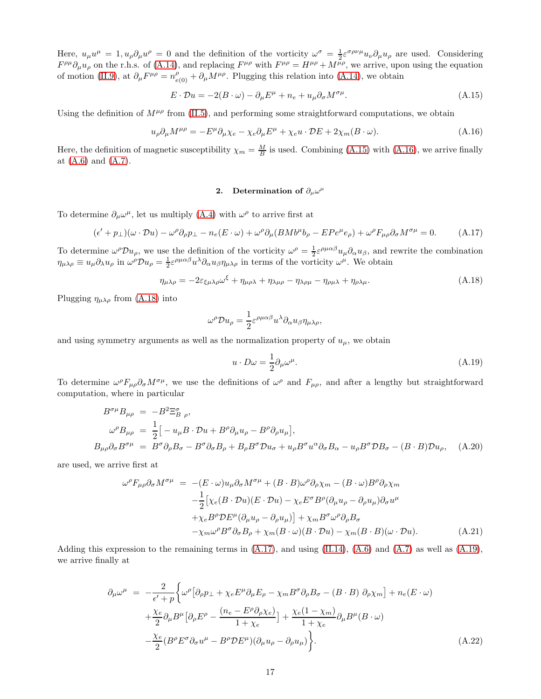Here,  $u_{\mu}u^{\mu} = 1, u_{\rho}\partial_{\mu}u^{\rho} = 0$  and the definition of the vorticity  $\omega^{\sigma} = \frac{1}{2}\varepsilon^{\sigma\rho\nu\mu}u_{\nu}\partial_{\mu}u_{\rho}$  are used. Considering  $F^{\rho\mu}\partial_{\mu}u_{\rho}$  on the r.h.s. of [\(A.14\)](#page-15-7), and replacing  $F^{\mu\rho}$  with  $F^{\mu\rho} = H^{\mu\rho} + M^{\mu\rho}$ , we arrive, upon using the equation of motion [\(II.9\)](#page-3-0), at  $\partial_{\mu}F^{\mu\rho} = n^{\rho}_{e(0)} + \partial_{\mu}M^{\mu\rho}$ . Plugging this relation into [\(A.14\)](#page-15-7), we obtain

<span id="page-16-2"></span>
$$
E \cdot \mathcal{D}u = -2(B \cdot \omega) - \partial_{\mu}E^{\mu} + n_e + u_{\mu}\partial_{\sigma}M^{\sigma\mu}.
$$
\n(A.15)

Using the definition of  $M^{\mu\rho}$  from [\(II.5\)](#page-2-1), and performing some straightforward computations, we obtain

<span id="page-16-0"></span>
$$
u_{\rho}\partial_{\mu}M^{\mu\rho} = -E^{\mu}\partial_{\mu}\chi_{e} - \chi_{e}\partial_{\mu}E^{\mu} + \chi_{e}u \cdot \mathcal{D}E + 2\chi_{m}(B \cdot \omega). \tag{A.16}
$$

Here, the definition of magnetic susceptibility  $\chi_m = \frac{M}{B}$  is used. Combining [\(A.15\)](#page-16-2) with [\(A.16\)](#page-16-0), we arrive finally at [\(A.6\)](#page-15-1) and [\(A.7\)](#page-15-4).

# 2. Determination of  $\partial_{\mu}\omega^{\mu}$

To determine  $\partial_{\mu}\omega^{\mu}$ , let us multiply [\(A.4\)](#page-14-1) with  $\omega^{\rho}$  to arrive first at

<span id="page-16-4"></span>
$$
(\epsilon' + p_{\perp})(\omega \cdot \mathcal{D}u) - \omega^{\rho}\partial_{\rho}p_{\perp} - n_{e}(E \cdot \omega) + \omega^{\rho}\partial_{\mu}(B M b^{\mu} b_{\rho} - E P e^{\mu} e_{\rho}) + \omega^{\rho} F_{\mu\rho}\partial_{\sigma}M^{\sigma\mu} = 0.
$$
 (A.17)

To determine  $\omega^{\rho} \mathcal{D} u_{\rho}$ , we use the definition of the vorticity  $\omega^{\rho} = \frac{1}{2} \varepsilon^{\rho \mu \alpha \beta} u_{\mu} \partial_{\alpha} u_{\beta}$ , and rewrite the combination  $\eta_{\mu\lambda\rho} \equiv u_{\mu}\partial_{\lambda}u_{\rho}$  in  $\omega^{\rho}\mathcal{D}u_{\rho} = \frac{1}{2}\varepsilon^{\rho\mu\alpha\beta}u^{\lambda}\partial_{\alpha}u_{\beta}\eta_{\mu\lambda\rho}$  in terms of the vorticity  $\omega^{\mu}$ . We obtain

<span id="page-16-3"></span>
$$
\eta_{\mu\lambda\rho} = -2\varepsilon_{\xi\mu\lambda\rho}\omega^{\xi} + \eta_{\mu\rho\lambda} + \eta_{\lambda\mu\rho} - \eta_{\lambda\rho\mu} - \eta_{\rho\mu\lambda} + \eta_{\rho\lambda\mu}.\tag{A.18}
$$

Plugging  $\eta_{\mu\lambda\rho}$  from [\(A.18\)](#page-16-3) into

$$
\omega^{\rho} \mathcal{D} u_{\rho} = \frac{1}{2} \varepsilon^{\rho \mu \alpha \beta} u^{\lambda} \partial_{\alpha} u_{\beta} \eta_{\mu \lambda \rho},
$$

and using symmetry arguments as well as the normalization property of  $u_{\mu}$ , we obtain

<span id="page-16-5"></span>
$$
u \cdot D\omega = \frac{1}{2} \partial_{\mu} \omega^{\mu}.
$$
 (A.19)

To determine  $\omega^{\rho}F_{\mu\rho}\partial_{\sigma}M^{\sigma\mu}$ , we use the definitions of  $\omega^{\rho}$  and  $F_{\mu\rho}$ , and after a lengthy but straightforward computation, where in particular

$$
B^{\sigma\mu}B_{\mu\rho} = -B^2 \Xi_{B \rho}^{\sigma},
$$
  
\n
$$
\omega^{\rho}B_{\mu\rho} = \frac{1}{2} \Big[ -u_{\mu}B \cdot \mathcal{D}u + B^{\rho}\partial_{\mu}u_{\rho} - B^{\rho}\partial_{\rho}u_{\mu} \Big],
$$
  
\n
$$
B_{\mu\rho}\partial_{\sigma}B^{\sigma\mu} = B^{\sigma}\partial_{\rho}B_{\sigma} - B^{\sigma}\partial_{\sigma}B_{\rho} + B_{\rho}B^{\sigma}\mathcal{D}u_{\sigma} + u_{\rho}B^{\sigma}u^{\alpha}\partial_{\sigma}B_{\alpha} - u_{\rho}B^{\sigma}\mathcal{D}B_{\sigma} - (B \cdot B)\mathcal{D}u_{\rho}, \quad (A.20)
$$

are used, we arrive first at

$$
\omega^{\rho} F_{\mu\rho} \partial_{\sigma} M^{\sigma \mu} = -(E \cdot \omega) u_{\mu} \partial_{\sigma} M^{\sigma \mu} + (B \cdot B) \omega^{\rho} \partial_{\rho} \chi_{m} - (B \cdot \omega) B^{\rho} \partial_{\rho} \chi_{m}
$$
  

$$
- \frac{1}{2} \Big[ \chi_{e} (B \cdot \mathcal{D}u) (E \cdot \mathcal{D}u) - \chi_{e} E^{\sigma} B^{\rho} (\partial_{\mu} u_{\rho} - \partial_{\rho} u_{\mu}) \partial_{\sigma} u^{\mu}
$$
  

$$
+ \chi_{e} B^{\rho} \mathcal{D} E^{\mu} (\partial_{\mu} u_{\rho} - \partial_{\rho} u_{\mu}) \Big] + \chi_{m} B^{\sigma} \omega^{\rho} \partial_{\rho} B_{\sigma}
$$
  

$$
- \chi_{m} \omega^{\rho} B^{\sigma} \partial_{\sigma} B_{\rho} + \chi_{m} (B \cdot \omega) (B \cdot \mathcal{D}u) - \chi_{m} (B \cdot B) (\omega \cdot \mathcal{D}u). \tag{A.21}
$$

Adding this expression to the remaining terms in  $(A.17)$ , and using  $(II.14)$ ,  $(A.6)$  and  $(A.7)$  as well as  $(A.19)$ , we arrive finally at

<span id="page-16-1"></span>
$$
\partial_{\mu}\omega^{\mu} = -\frac{2}{\epsilon' + p} \Biggl\{ \omega^{\rho} \bigl[ \partial_{\rho}p_{\perp} + \chi_{e}E^{\mu}\partial_{\mu}E_{\rho} - \chi_{m}B^{\sigma}\partial_{\rho}B_{\sigma} - (B \cdot B) \partial_{\rho}\chi_{m} \bigr] + n_{e}(E \cdot \omega) \n+ \frac{\chi_{e}}{2} \partial_{\mu}B^{\mu} \bigl[ \partial_{\rho}E^{\rho} - \frac{(n_{e} - E^{\rho}\partial_{\rho}\chi_{e})}{1 + \chi_{e}} \bigr] + \frac{\chi_{e}(1 - \chi_{m})}{1 + \chi_{e}} \partial_{\mu}B^{\mu}(B \cdot \omega) \n- \frac{\chi_{e}}{2} (B^{\rho}E^{\sigma}\partial_{\sigma}u^{\mu} - B^{\rho}DE^{\mu})(\partial_{\mu}u_{\rho} - \partial_{\rho}u_{\mu}) \Biggr\}.
$$
\n(A.22)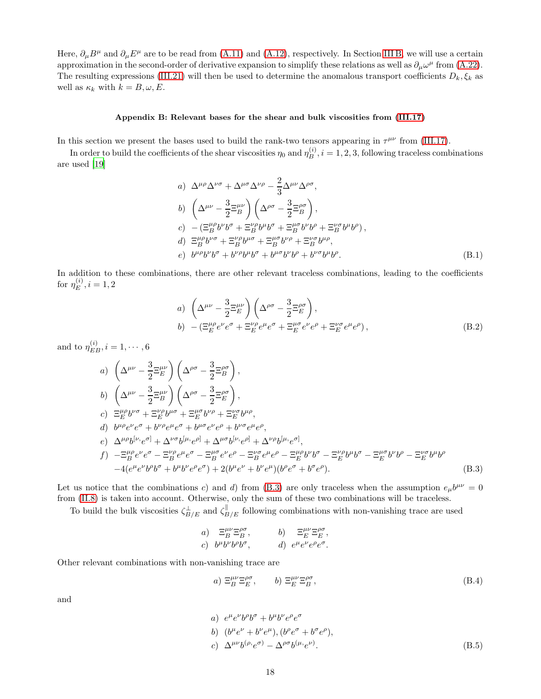Here,  $\partial_\mu B^\mu$  and  $\partial_\mu E^\mu$  are to be read from [\(A.11\)](#page-15-2) and [\(A.12\)](#page-15-3), respectively. In Section [III](#page-8-1) B, we will use a certain approximation in the second-order of derivative expansion to simplify these relations as well as  $\partial_\mu \omega^\mu$  from [\(A.22\)](#page-16-1). The resulting expressions [\(III.21\)](#page-9-3) will then be used to determine the anomalous transport coefficients  $D_k$ ,  $\xi_k$  as well as  $\kappa_k$  with  $k = B, \omega, E$ .

# <span id="page-17-0"></span>Appendix B: Relevant bases for the shear and bulk viscosities from [\(III.17\)](#page-8-0)

In this section we present the bases used to build the rank-two tensors appearing in  $\tau^{\mu\nu}$  from [\(III.17\)](#page-8-0).

In order to build the coefficients of the shear viscosities  $\eta_0$  and  $\eta_B^{(i)}$ ,  $i = 1, 2, 3$ , following traceless combinations are used [\[19\]](#page-18-15)

a) 
$$
\Delta^{\mu\rho}\Delta^{\nu\sigma} + \Delta^{\mu\sigma}\Delta^{\nu\rho} - \frac{2}{3}\Delta^{\mu\nu}\Delta^{\rho\sigma},
$$
  
\nb) 
$$
\left(\Delta^{\mu\nu} - \frac{3}{2}\Xi_B^{\mu\nu}\right)\left(\Delta^{\rho\sigma} - \frac{3}{2}\Xi_B^{\rho\sigma}\right),
$$
  
\nc) 
$$
-(\Xi_B^{\mu\rho}b^{\nu}b^{\sigma} + \Xi_B^{\nu\rho}b^{\mu}b^{\sigma} + \Xi_B^{\mu\sigma}b^{\nu}b^{\rho} + \Xi_B^{\nu\sigma}b^{\mu}b^{\rho}),
$$
  
\nd) 
$$
\Xi_B^{\mu\rho}b^{\nu\sigma} + \Xi_B^{\nu\rho}b^{\mu\sigma} + \Xi_B^{\mu\sigma}b^{\nu\rho} + \Xi_B^{\nu\sigma}b^{\mu\rho},
$$
  
\ne) 
$$
b^{\mu\rho}b^{\nu}b^{\sigma} + b^{\nu\rho}b^{\mu}b^{\sigma} + b^{\mu\sigma}b^{\nu}b^{\rho} + b^{\nu\sigma}b^{\mu}b^{\rho}.
$$
 (B.1)

In addition to these combinations, there are other relevant traceless combinations, leading to the coefficients for  $\eta_E^{(i)}$ ,  $i = 1, 2$ 

<span id="page-17-3"></span>a) 
$$
\left(\Delta^{\mu\nu} - \frac{3}{2} \Xi_E^{\mu\nu}\right) \left(\Delta^{\rho\sigma} - \frac{3}{2} \Xi_E^{\rho\sigma}\right),
$$
  
\nb)  $-(\Xi_E^{\mu\rho} e^{\nu} e^{\sigma} + \Xi_E^{\nu\rho} e^{\mu} e^{\sigma} + \Xi_E^{\mu\sigma} e^{\nu} e^{\rho} + \Xi_E^{\nu\sigma} e^{\mu} e^{\rho}),$  (B.2)

and to  $\eta_{EB}^{(i)}$ ,  $i = 1, \dots, 6$ 

<span id="page-17-2"></span>a) 
$$
\left(\Delta^{\mu\nu} - \frac{3}{2} \Xi_E^{\mu\nu}\right) \left(\Delta^{\rho\sigma} - \frac{3}{2} \Xi_B^{\rho\sigma}\right),
$$
  
\nb) 
$$
\left(\Delta^{\mu\nu} - \frac{3}{2} \Xi_B^{\mu\nu}\right) \left(\Delta^{\rho\sigma} - \frac{3}{2} \Xi_E^{\rho\sigma}\right),
$$
  
\nc) 
$$
\Xi_E^{\mu\rho} b^{\nu\sigma} + \Xi_E^{\nu\rho} b^{\mu\sigma} + \Xi_E^{\mu\sigma} b^{\nu\rho} + \Xi_E^{\nu\sigma} b^{\mu\rho},
$$
  
\nd) 
$$
b^{\mu\rho} e^{\nu} e^{\sigma} + b^{\nu\rho} e^{\mu} e^{\sigma} + b^{\mu\sigma} e^{\nu} e^{\rho} + b^{\nu\sigma} e^{\mu} e^{\rho},
$$
  
\ne) 
$$
\Delta^{\mu\rho} b^{[\nu, e\sigma]} + \Delta^{\nu\sigma} b^{[\mu, e\rho]} + \Delta^{\mu\sigma} b^{[\nu, e\rho]} + \Delta^{\nu\rho} b^{[\mu, e\sigma]},
$$
  
\nf) 
$$
-\Xi_B^{\mu\rho} e^{\nu} e^{\sigma} - \Xi_B^{\nu\rho} e^{\mu} e^{\sigma} - \Xi_B^{\mu\sigma} e^{\nu} e^{\rho} - \Xi_B^{\nu\sigma} e^{\mu} e^{\rho} - \Xi_E^{\mu\rho} b^{\nu} b^{\sigma} - \Xi_E^{\mu\sigma} b^{\nu} b^{\rho} - \Xi_E^{\nu\sigma} b^{\mu} b^{\rho}
$$
  
\n
$$
-4(e^{\mu} e^{\nu} b^{\rho} b^{\sigma} + b^{\mu} b^{\nu} e^{\rho} e^{\sigma}) + 2(b^{\mu} e^{\nu} + b^{\nu} e^{\mu})(b^{\rho} e^{\sigma} + b^{\sigma} e^{\rho}). \tag{B.3}
$$

Let us notice that the combinations c) and d) from [\(B.3\)](#page-17-2) are only traceless when the assumption  $e_{\mu}b^{\mu\nu} = 0$ from [\(II.8\)](#page-2-4) is taken into account. Otherwise, only the sum of these two combinations will be traceless.

To build the bulk viscosities  $\zeta_{B/E}^{\perp}$  and  $\zeta_{B/E}^{\parallel}$  following combinations with non-vanishing trace are used

a) 
$$
\Xi_B^{\mu\nu}\Xi_B^{\rho\sigma}
$$
, b)  $\Xi_E^{\mu\nu}\Xi_E^{\rho\sigma}$ ,  
c)  $b^{\mu}b^{\nu}b^{\rho}b^{\sigma}$ , d)  $e^{\mu}e^{\nu}e^{\rho}e^{\sigma}$ .

Other relevant combinations with non-vanishing trace are

<span id="page-17-1"></span>
$$
a) \ \Xi_B^{\mu\nu} \Xi_E^{\rho\sigma}, \qquad b) \ \Xi_E^{\mu\nu} \Xi_B^{\rho\sigma}, \tag{B.4}
$$

and

a) 
$$
e^{\mu}e^{\nu}b^{\rho}b^{\sigma} + b^{\mu}b^{\nu}e^{\rho}e^{\sigma}
$$
  
\nb)  $(b^{\mu}e^{\nu} + b^{\nu}e^{\mu}), (b^{\rho}e^{\sigma} + b^{\sigma}e^{\rho}),$   
\nc)  $\Delta^{\mu\nu}b^{(\rho)}e^{\sigma} - \Delta^{\rho\sigma}b^{(\mu}e^{\nu)}.$  (B.5)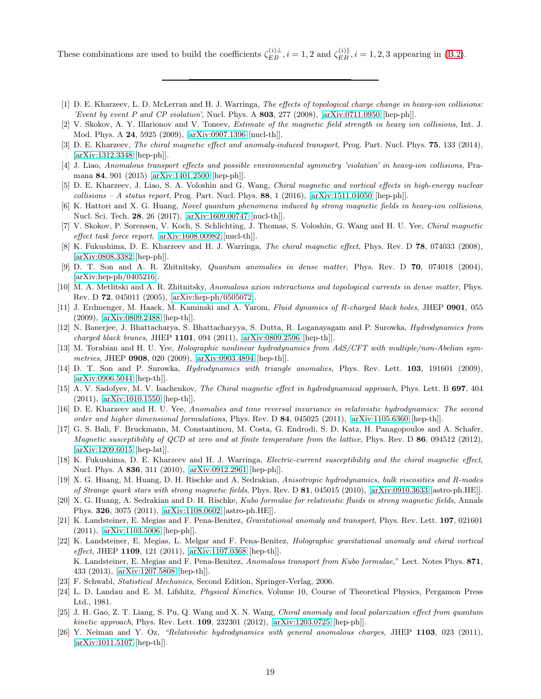These combinations are used to build the coefficients  $\zeta_{EB}^{(i)\perp}$ ,  $i = 1, 2$  and  $\zeta_{EB}^{(i)\parallel}$ ,  $i = 1, 2, 3$  appearing in [\(B.2\)](#page-17-3).

- <span id="page-18-0"></span>[1] D. E. Kharzeev, L. D. McLerran and H. J. Warringa, The effects of topological charge change in heavy-ion collisions: 'Event by event P and CP violation', Nucl. Phys. A  $803$ , 277 (2008), [\[arXiv:0711.0950](http://arxiv.org/abs/0711.0950) [hep-ph]].
- <span id="page-18-1"></span>[2] V. Skokov, A. Y. Illarionov and V. Toneev, Estimate of the magnetic field strength in heavy ion collisions, Int. J. Mod. Phys. A 24, 5925 (2009), [\[arXiv:0907.1396](http://arxiv.org/abs/0907.1396) [nucl-th]].
- <span id="page-18-2"></span>[3] D. E. Kharzeev, *The chiral magnetic effect and anomaly-induced transport*, Prog. Part. Nucl. Phys. **75**, 133 (2014), [\[arXiv:1312.3348](http://arxiv.org/abs/1312.3348) [hep-ph]].
- [4] J. Liao, Anomalous transport effects and possible environmental symmetry 'violation' in heavy-ion collisions, Pramana 84, 901 (2015) [\[arXiv:1401.2500](http://arxiv.org/abs/1401.2500) [hep-ph]].
- <span id="page-18-3"></span>[5] D. E. Kharzeev, J. Liao, S. A. Voloshin and G. Wang, Chiral magnetic and vortical effects in high-energy nuclear  $collisions - A status report$ , Prog. Part. Nucl. Phys. 88, 1 (2016), [\[arXiv:1511.04050](http://arxiv.org/abs/1511.04050) [hep-ph]].
- <span id="page-18-4"></span>[6] K. Hattori and X. G. Huang, Novel quantum phenomena induced by strong magnetic fields in heavy-ion collisions, Nucl. Sci. Tech. 28, 26 (2017), [\[arXiv:1609.00747](http://arxiv.org/abs/1609.00747) [nucl-th]].
- <span id="page-18-5"></span>[7] V. Skokov, P. Sorensen, V. Koch, S. Schlichting, J. Thomas, S. Voloshin, G. Wang and H. U. Yee, Chiral magnetic effect task force report, [\[arXiv:1608.00982](http://arxiv.org/abs/1608.00982) [nucl-th]].
- <span id="page-18-6"></span>[8] K. Fukushima, D. E. Kharzeev and H. J. Warringa, *The chiral magnetic effect*, Phys. Rev. D 78, 074033 (2008), [\[arXiv:0808.3382](http://arxiv.org/abs/0808.3382) [hep-ph]].
- <span id="page-18-7"></span>[9] D. T. Son and A. R. Zhitnitsky, Quantum anomalies in dense matter, Phys. Rev. D 70, 074018 (2004), [\[arXiv:hep-ph/0405216\]](http://arxiv.org/abs/hep-ph/0405216).
- <span id="page-18-8"></span>[10] M. A. Metlitski and A. R. Zhitnitsky, Anomalous axion interactions and topological currents in dense matter, Phys. Rev. D 72, 045011 (2005), [\[arXiv:hep-ph/0505072\]](http://arxiv.org/abs/hep-ph/0505072).
- <span id="page-18-9"></span>[11] J. Erdmenger, M. Haack, M. Kaminski and A. Yarom, Fluid dynamics of R-charged black holes, JHEP 0901, 055 (2009), [\[arXiv:0809.2488](http://arxiv.org/abs/0809.2488) [hep-th]].
- [12] N. Banerjee, J. Bhattacharya, S. Bhattacharyya, S. Dutta, R. Loganayagam and P. Surowka, Hydrodynamics from charged black branes, JHEP 1101, 094 (2011), [\[arXiv:0809.2596](http://arxiv.org/abs/0809.2596) [hep-th]].
- [13] M. Torabian and H. U. Yee, Holographic nonlinear hydrodynamics from AdS/CFT with multiple/non-Abelian symmetries, JHEP 0908, 020 (2009), [\[arXiv:0903.4894](http://arxiv.org/abs/0903.4894) [hep-th]].
- <span id="page-18-10"></span>[14] D. T. Son and P. Surowka, Hydrodynamics with triangle anomalies, Phys. Rev. Lett. 103, 191601 (2009), [\[arXiv:0906.5044](http://arxiv.org/abs/0906.5044) [hep-th]].
- <span id="page-18-11"></span>[15] A. V. Sadofyev, M. V. Isachenkov, *The Chiral magnetic effect in hydrodynamical approach*, Phys. Lett. B 697, 404 (2011), [\[arXiv:1010.1550](http://arxiv.org/abs/1010.1550) [hep-th]].
- <span id="page-18-12"></span>[16] D. E. Kharzeev and H. U. Yee, Anomalies and time reversal invariance in relativistic hydrodynamics: The second order and higher dimensional formulations, Phys. Rev. D 84, 045025 (2011), [\[arXiv:1105.6360](http://arxiv.org/abs/1105.6360) [hep-th]].
- <span id="page-18-13"></span>[17] G. S. Bali, F. Bruckmann, M. Constantinou, M. Costa, G. Endrodi, S. D. Katz, H. Panagopoulos and A. Schafer, Magnetic susceptibility of QCD at zero and at finite temperature from the lattice, Phys. Rev. D  $86$ , 094512 (2012), [\[arXiv:1209.6015](http://arxiv.org/abs/1209.6015) [hep-lat]].
- <span id="page-18-14"></span>[18] K. Fukushima, D. E. Kharzeev and H. J. Warringa, Electric-current susceptibility and the chiral magnetic effect, Nucl. Phys. A 836, 311 (2010), [\[arXiv:0912.2961](http://arxiv.org/abs/0912.2961) [hep-ph]].
- <span id="page-18-15"></span>[19] X. G. Huang, M. Huang, D. H. Rischke and A. Sedrakian, Anisotropic hydrodynamics, bulk viscosities and R-modes of Strange quark stars with strong magnetic fields, Phys. Rev. D 81, 045015 (2010), [\[arXiv:0910.3633](http://arxiv.org/abs/0910.3633) [astro-ph.HE]].
- <span id="page-18-16"></span>[20] X. G. Huang, A. Sedrakian and D. H. Rischke, Kubo formulae for relativistic fluids in strong magnetic fields, Annals Phys. 326, 3075 (2011), [\[arXiv:1108.0602](http://arxiv.org/abs/1108.0602) [astro-ph.HE]].
- <span id="page-18-17"></span>[21] K. Landsteiner, E. Megias and F. Pena-Benitez, Gravitational anomaly and transport, Phys. Rev. Lett. 107, 021601 (2011), [\[arXiv:1103.5006](http://arxiv.org/abs/1103.5006) [hep-ph]].
- <span id="page-18-18"></span>[22] K. Landsteiner, E. Megias, L. Melgar and F. Pena-Benitez, Holographic gravitational anomaly and chiral vortical effect, JHEP 1109, 121 (2011), [\[arXiv:1107.0368](http://arxiv.org/abs/1107.0368) [hep-th]]. K. Landsteiner, E. Megias and F. Pena-Benitez, Anomalous transport from Kubo formulae," Lect. Notes Phys. 871, 433 (2013), [\[arXiv:1207.5808](http://arxiv.org/abs/1207.5808) [hep-th]].
- <span id="page-18-19"></span>[23] F. Schwabl, Statistical Mechanics, Second Edition, Springer-Verlag, 2006.
- <span id="page-18-20"></span>[24] L. D. Landau and E. M. Lifshitz, Physical Kinetics, Volume 10, Course of Theoretical Physics, Pergamon Press Ltd., 1981.
- <span id="page-18-21"></span>[25] J. H. Gao, Z. T. Liang, S. Pu, Q. Wang and X. N. Wang, Chiral anomaly and local polarization effect from quantum kinetic approach, Phys. Rev. Lett. 109, 232301 (2012), [\[arXiv:1203.0725](http://arxiv.org/abs/1203.0725) [hep-ph]].
- <span id="page-18-22"></span>[26] Y. Neiman and Y. Oz, "Relativistic hydrodynamics with general anomalous charges, JHEP 1103, 023 (2011), [\[arXiv:1011.5107](http://arxiv.org/abs/1011.5107) [hep-th]].